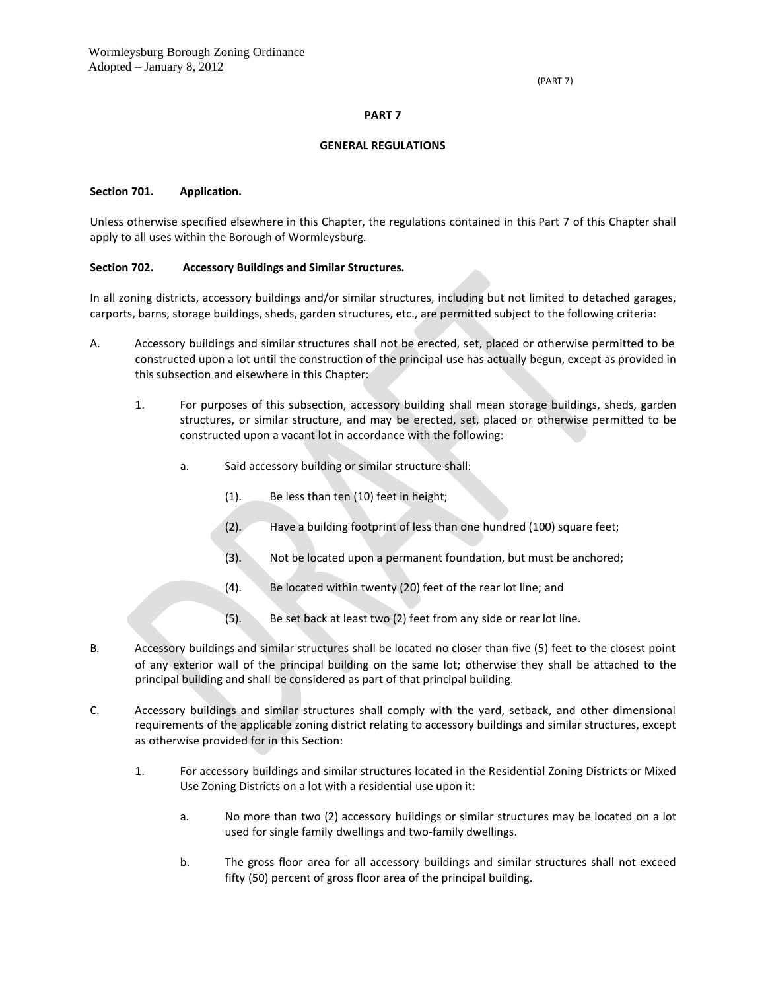(PART 7)

### **PART 7**

## **GENERAL REGULATIONS**

### **Section 701. Application.**

Unless otherwise specified elsewhere in this Chapter, the regulations contained in this Part 7 of this Chapter shall apply to all uses within the Borough of Wormleysburg.

### **Section 702. Accessory Buildings and Similar Structures.**

In all zoning districts, accessory buildings and/or similar structures, including but not limited to detached garages, carports, barns, storage buildings, sheds, garden structures, etc., are permitted subject to the following criteria:

- A. Accessory buildings and similar structures shall not be erected, set, placed or otherwise permitted to be constructed upon a lot until the construction of the principal use has actually begun, except as provided in this subsection and elsewhere in this Chapter:
	- 1. For purposes of this subsection, accessory building shall mean storage buildings, sheds, garden structures, or similar structure, and may be erected, set, placed or otherwise permitted to be constructed upon a vacant lot in accordance with the following:
		- a. Said accessory building or similar structure shall:
			- (1). Be less than ten (10) feet in height;
			- (2). Have a building footprint of less than one hundred (100) square feet;
			- (3). Not be located upon a permanent foundation, but must be anchored;
			- (4). Be located within twenty (20) feet of the rear lot line; and
			- (5). Be set back at least two (2) feet from any side or rear lot line.
- B. Accessory buildings and similar structures shall be located no closer than five (5) feet to the closest point of any exterior wall of the principal building on the same lot; otherwise they shall be attached to the principal building and shall be considered as part of that principal building.
- C. Accessory buildings and similar structures shall comply with the yard, setback, and other dimensional requirements of the applicable zoning district relating to accessory buildings and similar structures, except as otherwise provided for in this Section:
	- 1. For accessory buildings and similar structures located in the Residential Zoning Districts or Mixed Use Zoning Districts on a lot with a residential use upon it:
		- a. No more than two (2) accessory buildings or similar structures may be located on a lot used for single family dwellings and two-family dwellings.
		- b. The gross floor area for all accessory buildings and similar structures shall not exceed fifty (50) percent of gross floor area of the principal building.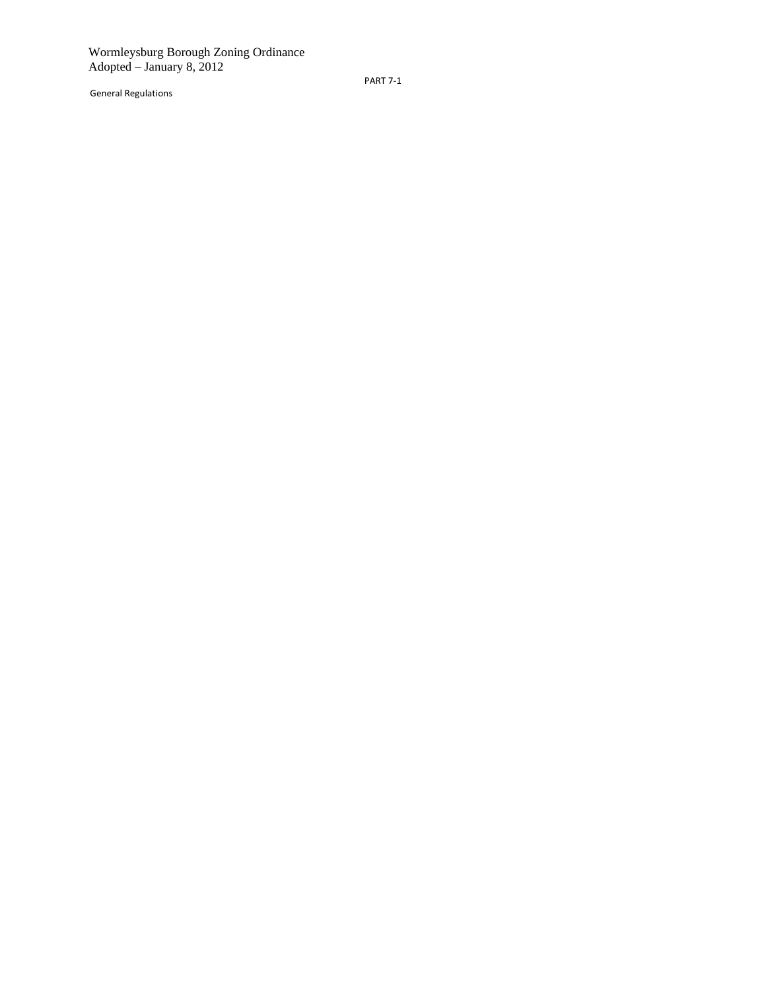General Regulations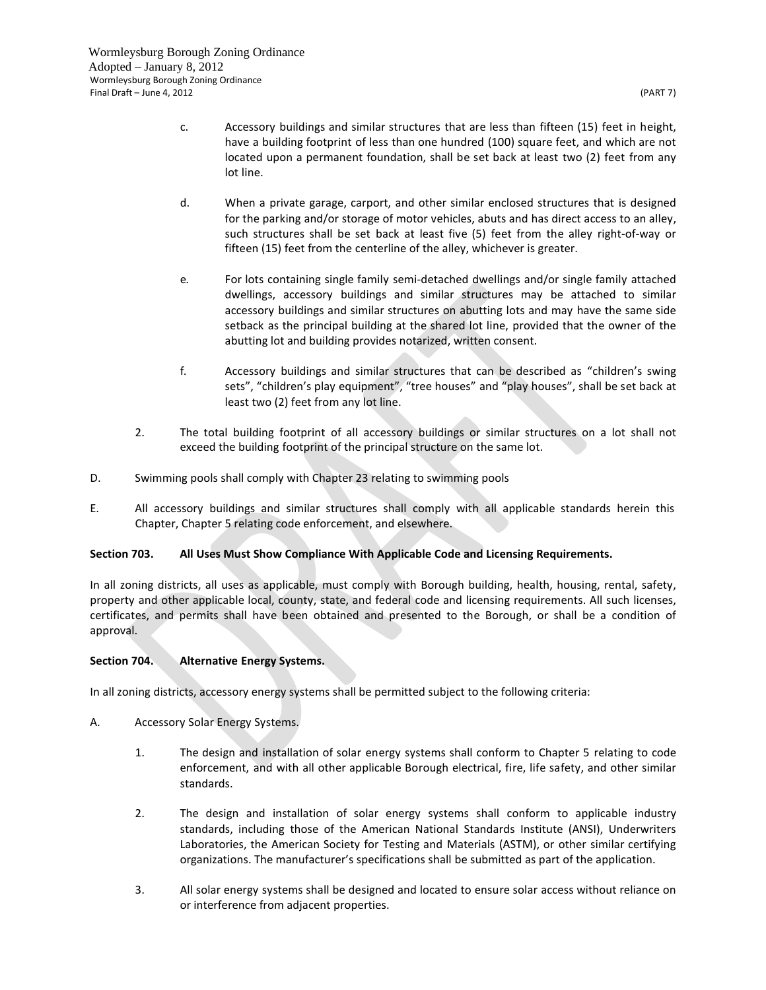- c. Accessory buildings and similar structures that are less than fifteen (15) feet in height, have a building footprint of less than one hundred (100) square feet, and which are not located upon a permanent foundation, shall be set back at least two (2) feet from any lot line.
- d. When a private garage, carport, and other similar enclosed structures that is designed for the parking and/or storage of motor vehicles, abuts and has direct access to an alley, such structures shall be set back at least five (5) feet from the alley right-of-way or fifteen (15) feet from the centerline of the alley, whichever is greater.
- e. For lots containing single family semi-detached dwellings and/or single family attached dwellings, accessory buildings and similar structures may be attached to similar accessory buildings and similar structures on abutting lots and may have the same side setback as the principal building at the shared lot line, provided that the owner of the abutting lot and building provides notarized, written consent.
- f. Accessory buildings and similar structures that can be described as "children's swing sets", "children's play equipment", "tree houses" and "play houses", shall be set back at least two (2) feet from any lot line.
- 2. The total building footprint of all accessory buildings or similar structures on a lot shall not exceed the building footprint of the principal structure on the same lot.
- D. Swimming pools shall comply with Chapter 23 relating to swimming pools
- E. All accessory buildings and similar structures shall comply with all applicable standards herein this Chapter, Chapter 5 relating code enforcement, and elsewhere.

# **Section 703. All Uses Must Show Compliance With Applicable Code and Licensing Requirements.**

In all zoning districts, all uses as applicable, must comply with Borough building, health, housing, rental, safety, property and other applicable local, county, state, and federal code and licensing requirements. All such licenses, certificates, and permits shall have been obtained and presented to the Borough, or shall be a condition of approval.

# **Section 704. Alternative Energy Systems.**

In all zoning districts, accessory energy systems shall be permitted subject to the following criteria:

- A. Accessory Solar Energy Systems.
	- 1. The design and installation of solar energy systems shall conform to Chapter 5 relating to code enforcement, and with all other applicable Borough electrical, fire, life safety, and other similar standards.
	- 2. The design and installation of solar energy systems shall conform to applicable industry standards, including those of the American National Standards Institute (ANSI), Underwriters Laboratories, the American Society for Testing and Materials (ASTM), or other similar certifying organizations. The manufacturer's specifications shall be submitted as part of the application.
	- 3. All solar energy systems shall be designed and located to ensure solar access without reliance on or interference from adjacent properties.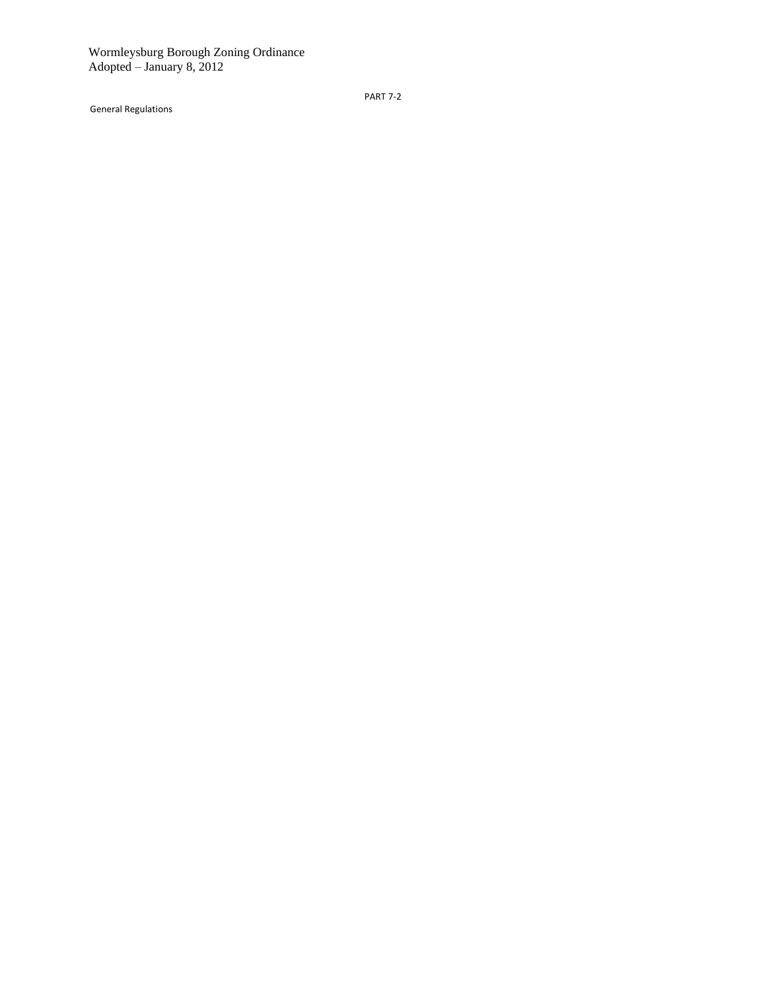General Regulations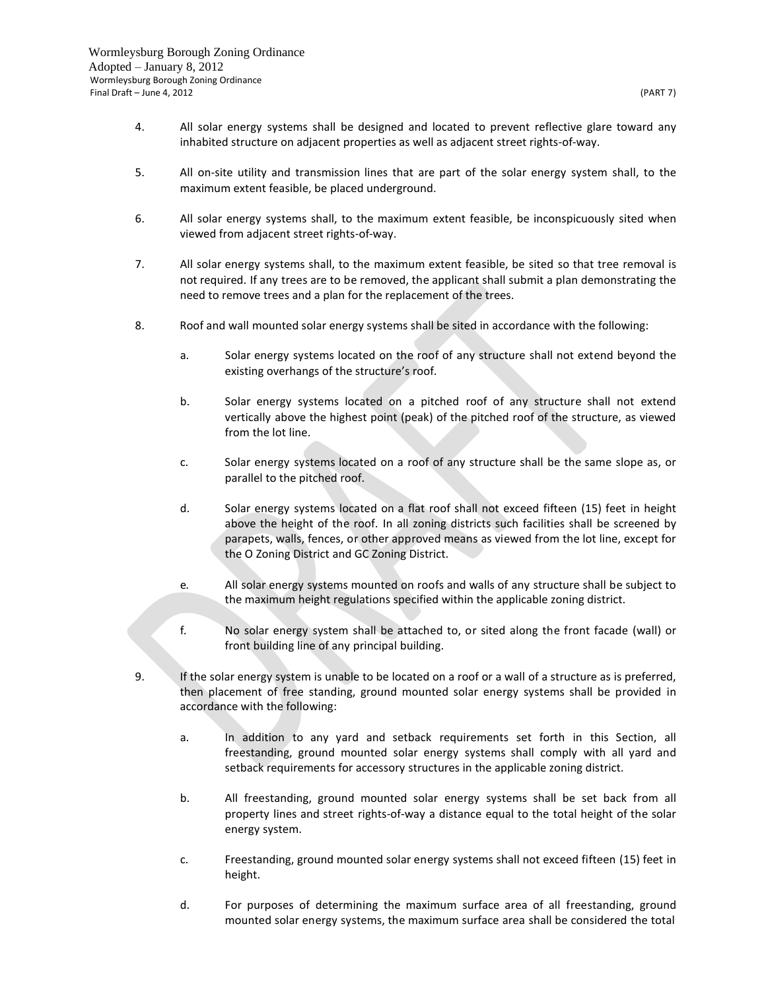- 4. All solar energy systems shall be designed and located to prevent reflective glare toward any inhabited structure on adjacent properties as well as adjacent street rights-of-way.
- 5. All on-site utility and transmission lines that are part of the solar energy system shall, to the maximum extent feasible, be placed underground.
- 6. All solar energy systems shall, to the maximum extent feasible, be inconspicuously sited when viewed from adjacent street rights-of-way.
- 7. All solar energy systems shall, to the maximum extent feasible, be sited so that tree removal is not required. If any trees are to be removed, the applicant shall submit a plan demonstrating the need to remove trees and a plan for the replacement of the trees.
- 8. Roof and wall mounted solar energy systems shall be sited in accordance with the following:
	- a. Solar energy systems located on the roof of any structure shall not extend beyond the existing overhangs of the structure's roof.
	- b. Solar energy systems located on a pitched roof of any structure shall not extend vertically above the highest point (peak) of the pitched roof of the structure, as viewed from the lot line.
	- c. Solar energy systems located on a roof of any structure shall be the same slope as, or parallel to the pitched roof.
	- d. Solar energy systems located on a flat roof shall not exceed fifteen (15) feet in height above the height of the roof. In all zoning districts such facilities shall be screened by parapets, walls, fences, or other approved means as viewed from the lot line, except for the O Zoning District and GC Zoning District.
	- e. All solar energy systems mounted on roofs and walls of any structure shall be subject to the maximum height regulations specified within the applicable zoning district.
	- f. No solar energy system shall be attached to, or sited along the front facade (wall) or front building line of any principal building.
- 9. If the solar energy system is unable to be located on a roof or a wall of a structure as is preferred, then placement of free standing, ground mounted solar energy systems shall be provided in accordance with the following:
	- a. In addition to any yard and setback requirements set forth in this Section, all freestanding, ground mounted solar energy systems shall comply with all yard and setback requirements for accessory structures in the applicable zoning district.
	- b. All freestanding, ground mounted solar energy systems shall be set back from all property lines and street rights-of-way a distance equal to the total height of the solar energy system.
	- c. Freestanding, ground mounted solar energy systems shall not exceed fifteen (15) feet in height.
	- d. For purposes of determining the maximum surface area of all freestanding, ground mounted solar energy systems, the maximum surface area shall be considered the total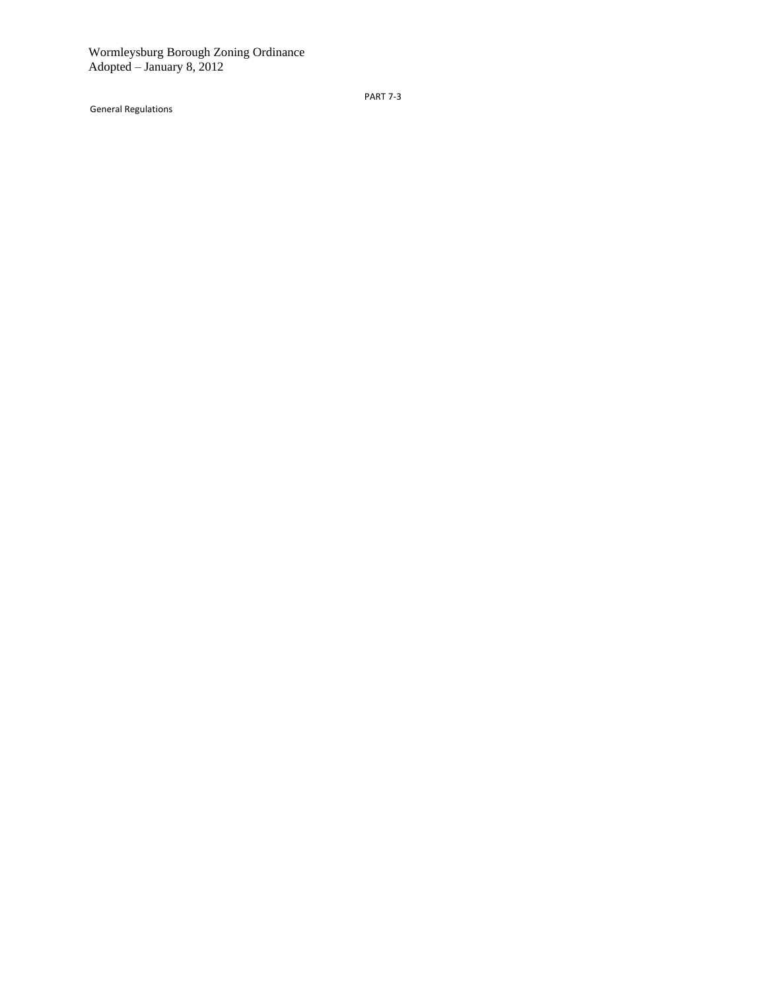General Regulations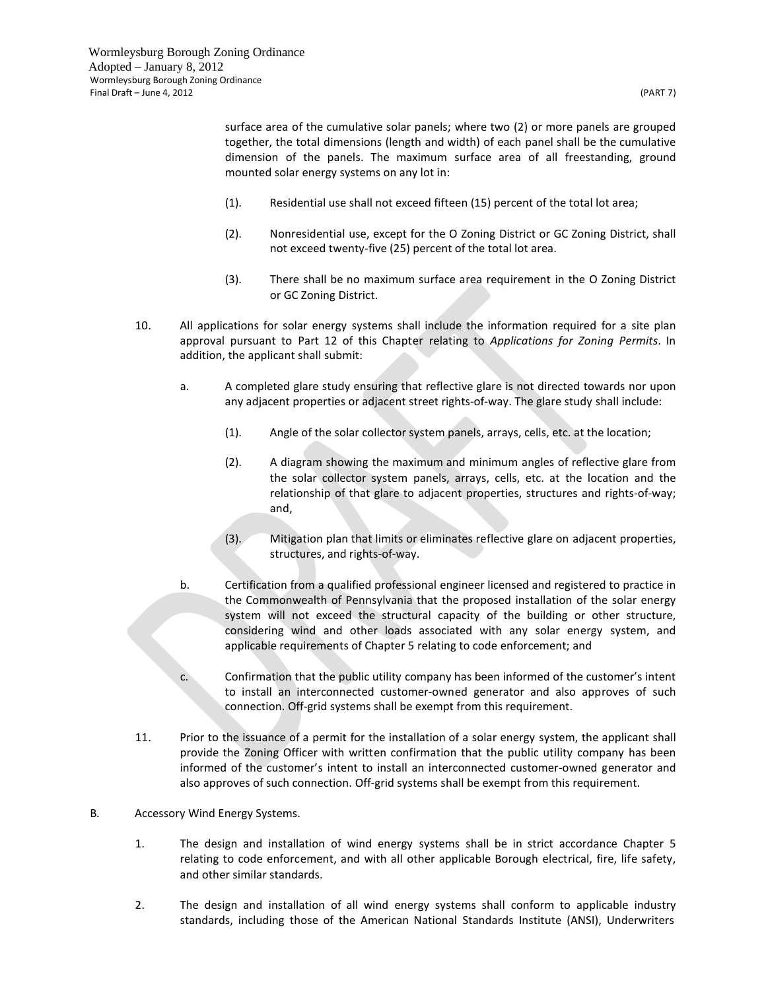surface area of the cumulative solar panels; where two (2) or more panels are grouped together, the total dimensions (length and width) of each panel shall be the cumulative dimension of the panels. The maximum surface area of all freestanding, ground mounted solar energy systems on any lot in:

- (1). Residential use shall not exceed fifteen (15) percent of the total lot area;
- (2). Nonresidential use, except for the O Zoning District or GC Zoning District, shall not exceed twenty-five (25) percent of the total lot area.
- (3). There shall be no maximum surface area requirement in the O Zoning District or GC Zoning District.
- 10. All applications for solar energy systems shall include the information required for a site plan approval pursuant to Part 12 of this Chapter relating to *Applications for Zoning Permits*. In addition, the applicant shall submit:
	- a. A completed glare study ensuring that reflective glare is not directed towards nor upon any adjacent properties or adjacent street rights-of-way. The glare study shall include:
		- (1). Angle of the solar collector system panels, arrays, cells, etc. at the location;
		- (2). A diagram showing the maximum and minimum angles of reflective glare from the solar collector system panels, arrays, cells, etc. at the location and the relationship of that glare to adjacent properties, structures and rights-of-way; and,
		- (3). Mitigation plan that limits or eliminates reflective glare on adjacent properties, structures, and rights-of-way.
	- b. Certification from a qualified professional engineer licensed and registered to practice in the Commonwealth of Pennsylvania that the proposed installation of the solar energy system will not exceed the structural capacity of the building or other structure, considering wind and other loads associated with any solar energy system, and applicable requirements of Chapter 5 relating to code enforcement; and
	- c. Confirmation that the public utility company has been informed of the customer's intent to install an interconnected customer-owned generator and also approves of such connection. Off-grid systems shall be exempt from this requirement.
- 11. Prior to the issuance of a permit for the installation of a solar energy system, the applicant shall provide the Zoning Officer with written confirmation that the public utility company has been informed of the customer's intent to install an interconnected customer-owned generator and also approves of such connection. Off-grid systems shall be exempt from this requirement.
- B. Accessory Wind Energy Systems.
	- 1. The design and installation of wind energy systems shall be in strict accordance Chapter 5 relating to code enforcement, and with all other applicable Borough electrical, fire, life safety, and other similar standards.
	- 2. The design and installation of all wind energy systems shall conform to applicable industry standards, including those of the American National Standards Institute (ANSI), Underwriters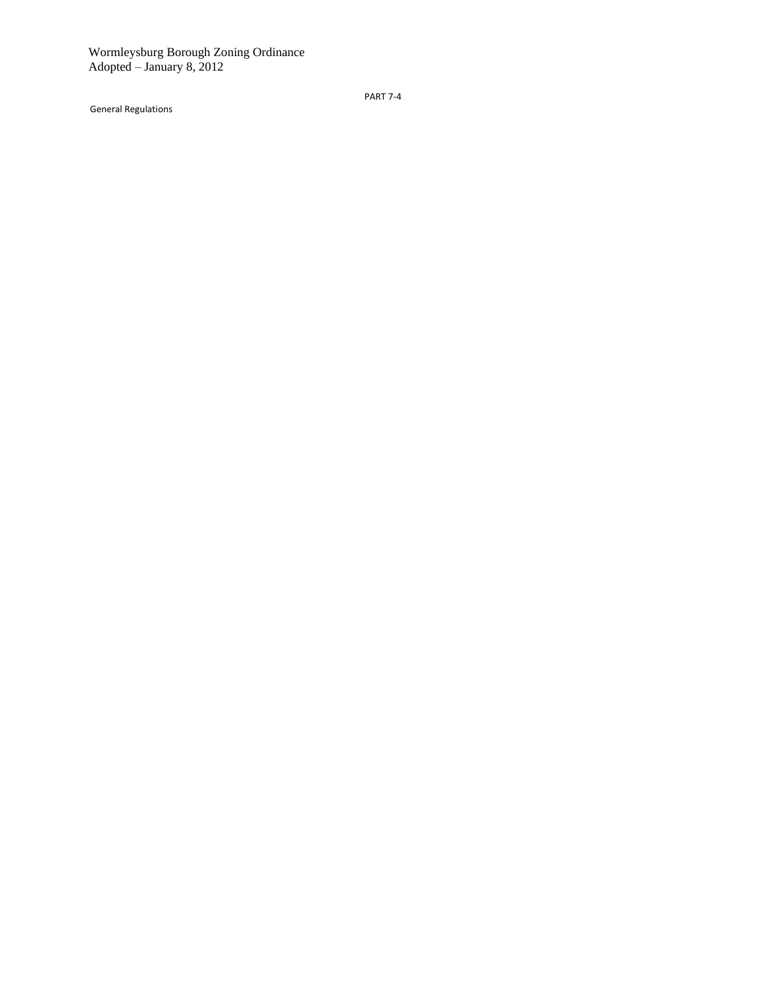General Regulations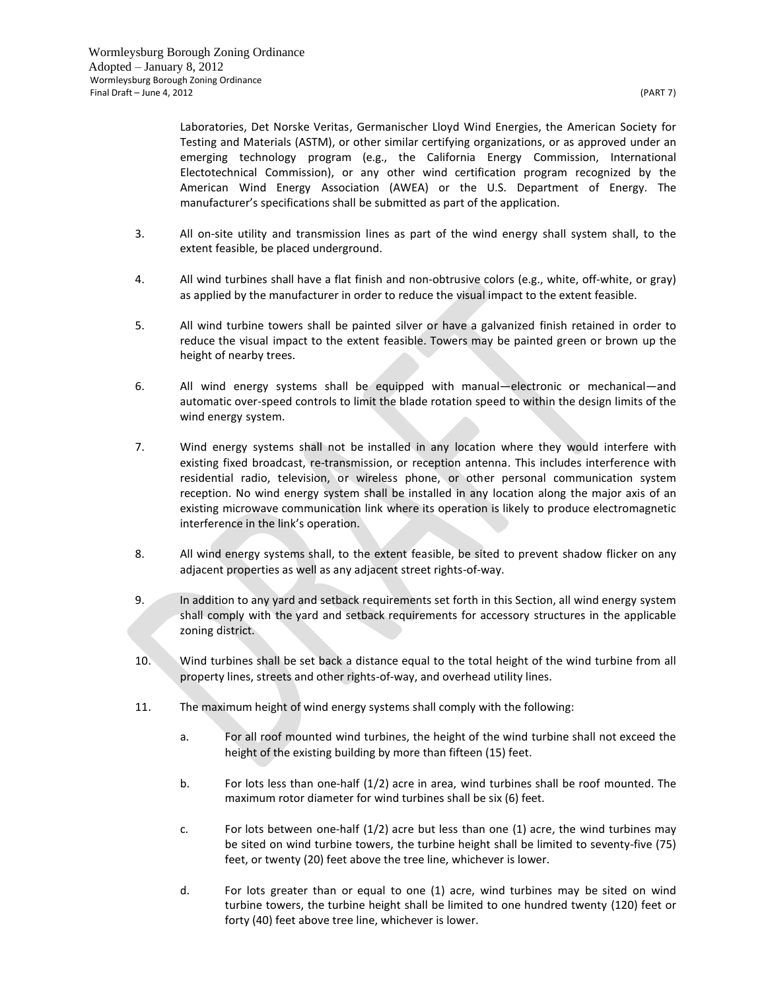Laboratories, Det Norske Veritas, Germanischer Lloyd Wind Energies, the American Society for Testing and Materials (ASTM), or other similar certifying organizations, or as approved under an emerging technology program (e.g., the California Energy Commission, International Electotechnical Commission), or any other wind certification program recognized by the American Wind Energy Association (AWEA) or the U.S. Department of Energy. The manufacturer's specifications shall be submitted as part of the application.

- 3. All on-site utility and transmission lines as part of the wind energy shall system shall, to the extent feasible, be placed underground.
- 4. All wind turbines shall have a flat finish and non-obtrusive colors (e.g., white, off-white, or gray) as applied by the manufacturer in order to reduce the visual impact to the extent feasible.
- 5. All wind turbine towers shall be painted silver or have a galvanized finish retained in order to reduce the visual impact to the extent feasible. Towers may be painted green or brown up the height of nearby trees.
- 6. All wind energy systems shall be equipped with manual—electronic or mechanical—and automatic over-speed controls to limit the blade rotation speed to within the design limits of the wind energy system.
- 7. Wind energy systems shall not be installed in any location where they would interfere with existing fixed broadcast, re-transmission, or reception antenna. This includes interference with residential radio, television, or wireless phone, or other personal communication system reception. No wind energy system shall be installed in any location along the major axis of an existing microwave communication link where its operation is likely to produce electromagnetic interference in the link's operation.
- 8. All wind energy systems shall, to the extent feasible, be sited to prevent shadow flicker on any adjacent properties as well as any adjacent street rights-of-way.
- 9. In addition to any yard and setback requirements set forth in this Section, all wind energy system shall comply with the yard and setback requirements for accessory structures in the applicable zoning district.
- 10. Wind turbines shall be set back a distance equal to the total height of the wind turbine from all property lines, streets and other rights-of-way, and overhead utility lines.
- 11. The maximum height of wind energy systems shall comply with the following:
	- a. For all roof mounted wind turbines, the height of the wind turbine shall not exceed the height of the existing building by more than fifteen (15) feet.
	- b. For lots less than one-half (1/2) acre in area, wind turbines shall be roof mounted. The maximum rotor diameter for wind turbines shall be six (6) feet.
	- c. For lots between one-half (1/2) acre but less than one (1) acre, the wind turbines may be sited on wind turbine towers, the turbine height shall be limited to seventy-five (75) feet, or twenty (20) feet above the tree line, whichever is lower.
	- d. For lots greater than or equal to one (1) acre, wind turbines may be sited on wind turbine towers, the turbine height shall be limited to one hundred twenty (120) feet or forty (40) feet above tree line, whichever is lower.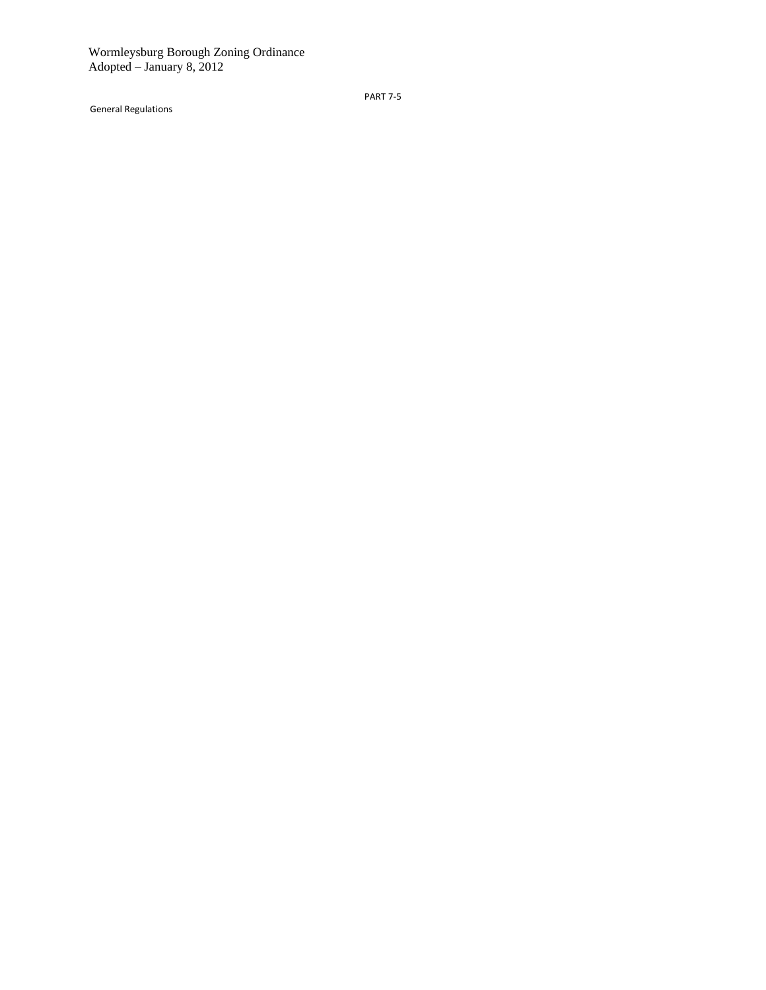General Regulations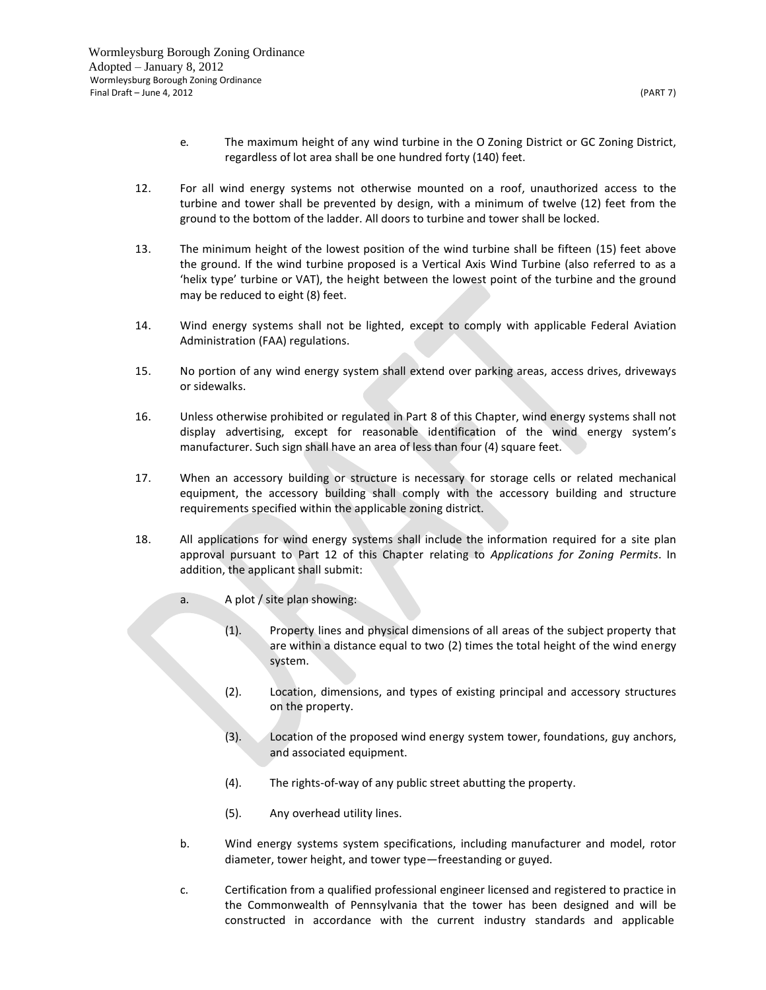- e. The maximum height of any wind turbine in the O Zoning District or GC Zoning District, regardless of lot area shall be one hundred forty (140) feet.
- 12. For all wind energy systems not otherwise mounted on a roof, unauthorized access to the turbine and tower shall be prevented by design, with a minimum of twelve (12) feet from the ground to the bottom of the ladder. All doors to turbine and tower shall be locked.
- 13. The minimum height of the lowest position of the wind turbine shall be fifteen (15) feet above the ground. If the wind turbine proposed is a Vertical Axis Wind Turbine (also referred to as a 'helix type' turbine or VAT), the height between the lowest point of the turbine and the ground may be reduced to eight (8) feet.
- 14. Wind energy systems shall not be lighted, except to comply with applicable Federal Aviation Administration (FAA) regulations.
- 15. No portion of any wind energy system shall extend over parking areas, access drives, driveways or sidewalks.
- 16. Unless otherwise prohibited or regulated in Part 8 of this Chapter, wind energy systems shall not display advertising, except for reasonable identification of the wind energy system's manufacturer. Such sign shall have an area of less than four (4) square feet.
- 17. When an accessory building or structure is necessary for storage cells or related mechanical equipment, the accessory building shall comply with the accessory building and structure requirements specified within the applicable zoning district.
- 18. All applications for wind energy systems shall include the information required for a site plan approval pursuant to Part 12 of this Chapter relating to *Applications for Zoning Permits*. In addition, the applicant shall submit:
	- a. A plot / site plan showing:
		- (1). Property lines and physical dimensions of all areas of the subject property that are within a distance equal to two (2) times the total height of the wind energy system.
		- (2). Location, dimensions, and types of existing principal and accessory structures on the property.
		- (3). Location of the proposed wind energy system tower, foundations, guy anchors, and associated equipment.
		- (4). The rights-of-way of any public street abutting the property.
		- (5). Any overhead utility lines.
	- b. Wind energy systems system specifications, including manufacturer and model, rotor diameter, tower height, and tower type—freestanding or guyed.
	- c. Certification from a qualified professional engineer licensed and registered to practice in the Commonwealth of Pennsylvania that the tower has been designed and will be constructed in accordance with the current industry standards and applicable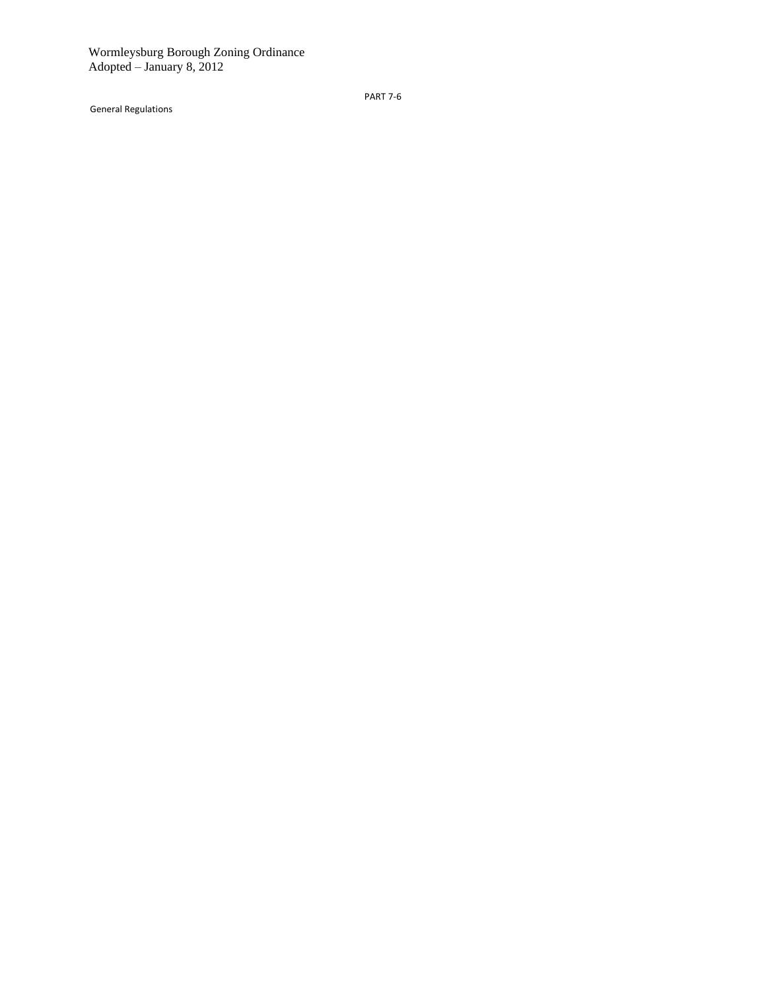General Regulations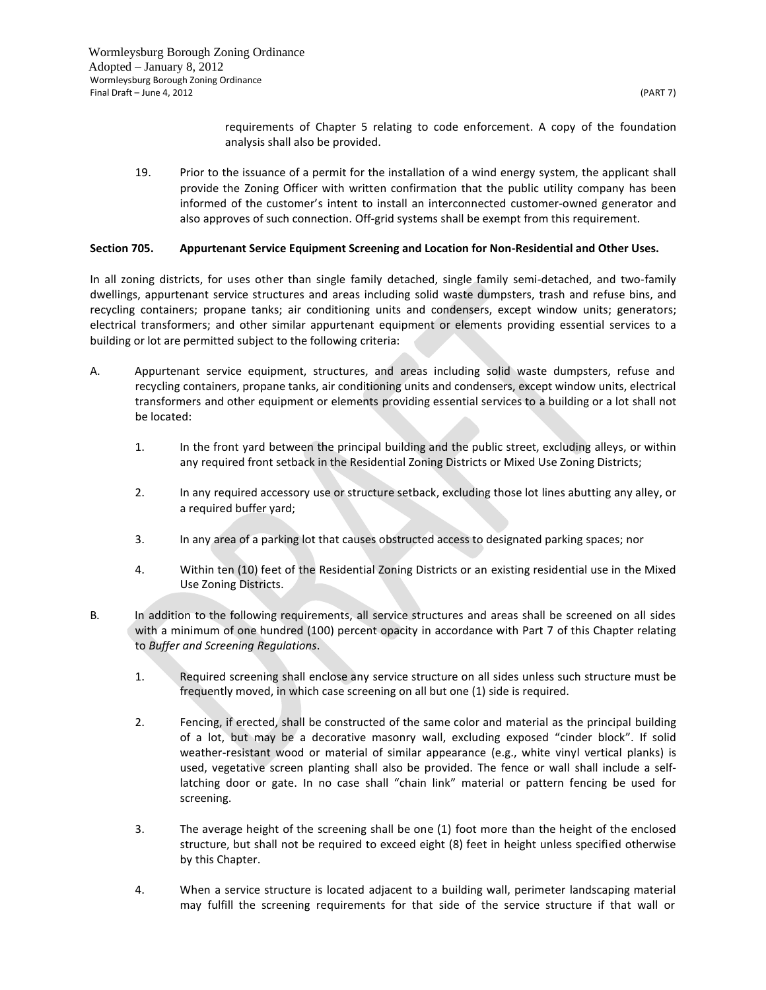requirements of Chapter 5 relating to code enforcement. A copy of the foundation analysis shall also be provided.

19. Prior to the issuance of a permit for the installation of a wind energy system, the applicant shall provide the Zoning Officer with written confirmation that the public utility company has been informed of the customer's intent to install an interconnected customer-owned generator and also approves of such connection. Off-grid systems shall be exempt from this requirement.

### **Section 705. Appurtenant Service Equipment Screening and Location for Non-Residential and Other Uses.**

In all zoning districts, for uses other than single family detached, single family semi-detached, and two-family dwellings, appurtenant service structures and areas including solid waste dumpsters, trash and refuse bins, and recycling containers; propane tanks; air conditioning units and condensers, except window units; generators; electrical transformers; and other similar appurtenant equipment or elements providing essential services to a building or lot are permitted subject to the following criteria:

- A. Appurtenant service equipment, structures, and areas including solid waste dumpsters, refuse and recycling containers, propane tanks, air conditioning units and condensers, except window units, electrical transformers and other equipment or elements providing essential services to a building or a lot shall not be located:
	- 1. In the front yard between the principal building and the public street, excluding alleys, or within any required front setback in the Residential Zoning Districts or Mixed Use Zoning Districts;
	- 2. In any required accessory use or structure setback, excluding those lot lines abutting any alley, or a required buffer yard;
	- 3. In any area of a parking lot that causes obstructed access to designated parking spaces; nor
	- 4. Within ten (10) feet of the Residential Zoning Districts or an existing residential use in the Mixed Use Zoning Districts.
- B. In addition to the following requirements, all service structures and areas shall be screened on all sides with a minimum of one hundred (100) percent opacity in accordance with Part 7 of this Chapter relating to *Buffer and Screening Regulations*.
	- 1. Required screening shall enclose any service structure on all sides unless such structure must be frequently moved, in which case screening on all but one (1) side is required.
	- 2. Fencing, if erected, shall be constructed of the same color and material as the principal building of a lot, but may be a decorative masonry wall, excluding exposed "cinder block". If solid weather-resistant wood or material of similar appearance (e.g., white vinyl vertical planks) is used, vegetative screen planting shall also be provided. The fence or wall shall include a selflatching door or gate. In no case shall "chain link" material or pattern fencing be used for screening.
	- 3. The average height of the screening shall be one (1) foot more than the height of the enclosed structure, but shall not be required to exceed eight (8) feet in height unless specified otherwise by this Chapter.
	- 4. When a service structure is located adjacent to a building wall, perimeter landscaping material may fulfill the screening requirements for that side of the service structure if that wall or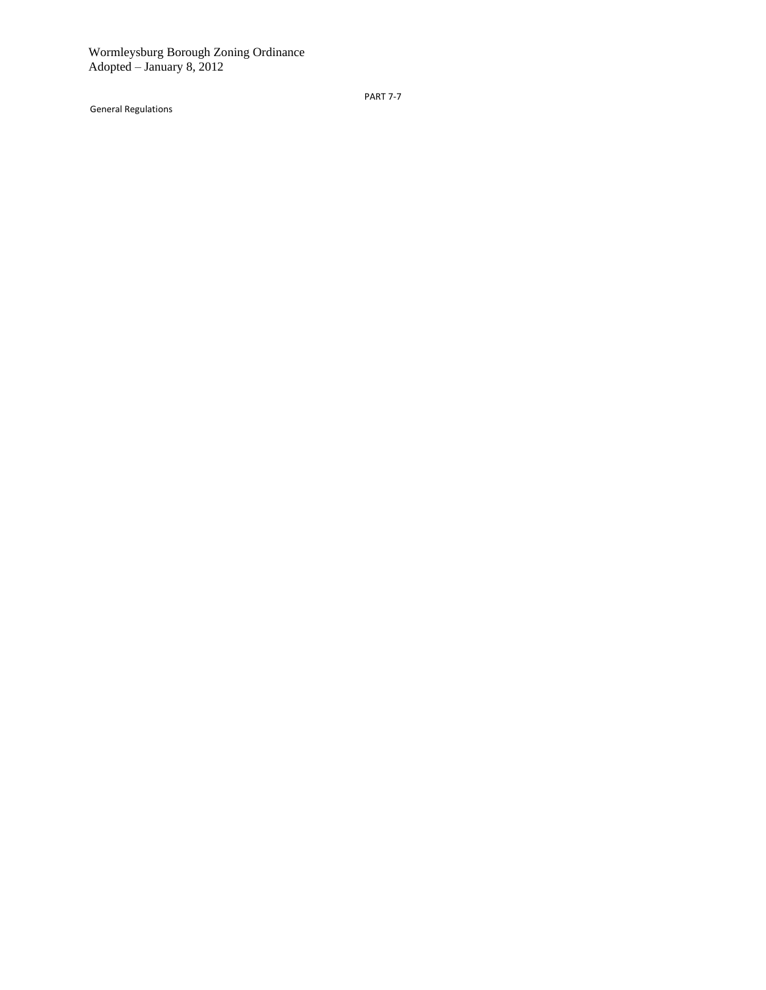General Regulations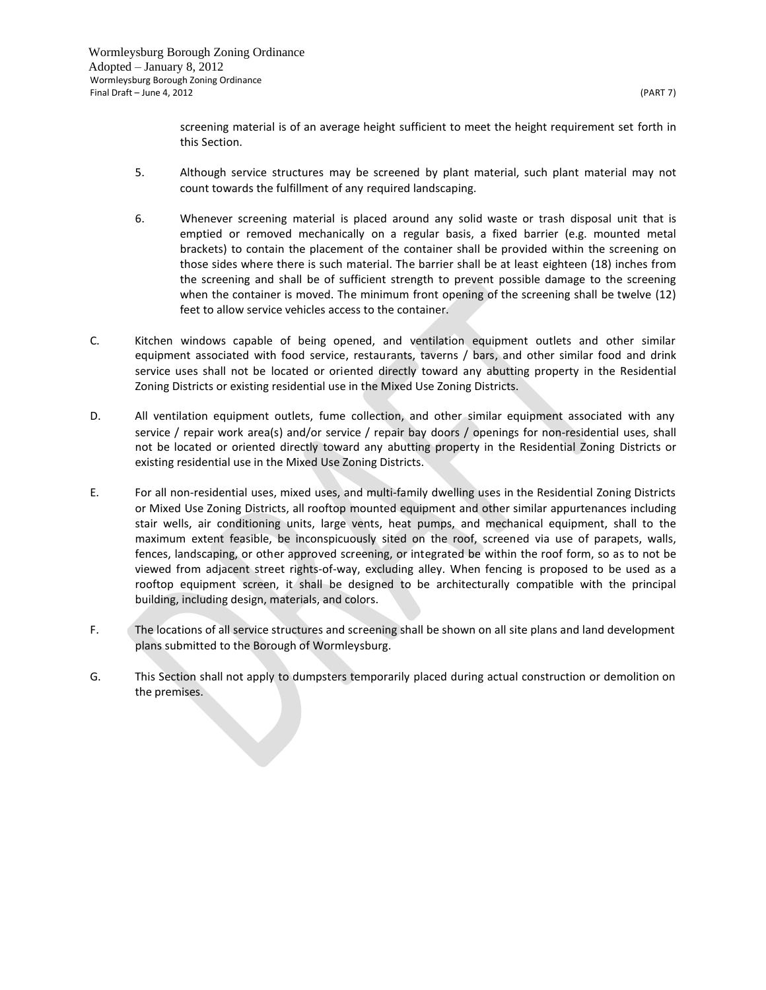screening material is of an average height sufficient to meet the height requirement set forth in this Section.

- 5. Although service structures may be screened by plant material, such plant material may not count towards the fulfillment of any required landscaping.
- 6. Whenever screening material is placed around any solid waste or trash disposal unit that is emptied or removed mechanically on a regular basis, a fixed barrier (e.g. mounted metal brackets) to contain the placement of the container shall be provided within the screening on those sides where there is such material. The barrier shall be at least eighteen (18) inches from the screening and shall be of sufficient strength to prevent possible damage to the screening when the container is moved. The minimum front opening of the screening shall be twelve (12) feet to allow service vehicles access to the container.
- C. Kitchen windows capable of being opened, and ventilation equipment outlets and other similar equipment associated with food service, restaurants, taverns / bars, and other similar food and drink service uses shall not be located or oriented directly toward any abutting property in the Residential Zoning Districts or existing residential use in the Mixed Use Zoning Districts.
- D. All ventilation equipment outlets, fume collection, and other similar equipment associated with any service / repair work area(s) and/or service / repair bay doors / openings for non-residential uses, shall not be located or oriented directly toward any abutting property in the Residential Zoning Districts or existing residential use in the Mixed Use Zoning Districts.
- E. For all non-residential uses, mixed uses, and multi-family dwelling uses in the Residential Zoning Districts or Mixed Use Zoning Districts, all rooftop mounted equipment and other similar appurtenances including stair wells, air conditioning units, large vents, heat pumps, and mechanical equipment, shall to the maximum extent feasible, be inconspicuously sited on the roof, screened via use of parapets, walls, fences, landscaping, or other approved screening, or integrated be within the roof form, so as to not be viewed from adjacent street rights-of-way, excluding alley. When fencing is proposed to be used as a rooftop equipment screen, it shall be designed to be architecturally compatible with the principal building, including design, materials, and colors.
- F. The locations of all service structures and screening shall be shown on all site plans and land development plans submitted to the Borough of Wormleysburg.
- G. This Section shall not apply to dumpsters temporarily placed during actual construction or demolition on the premises.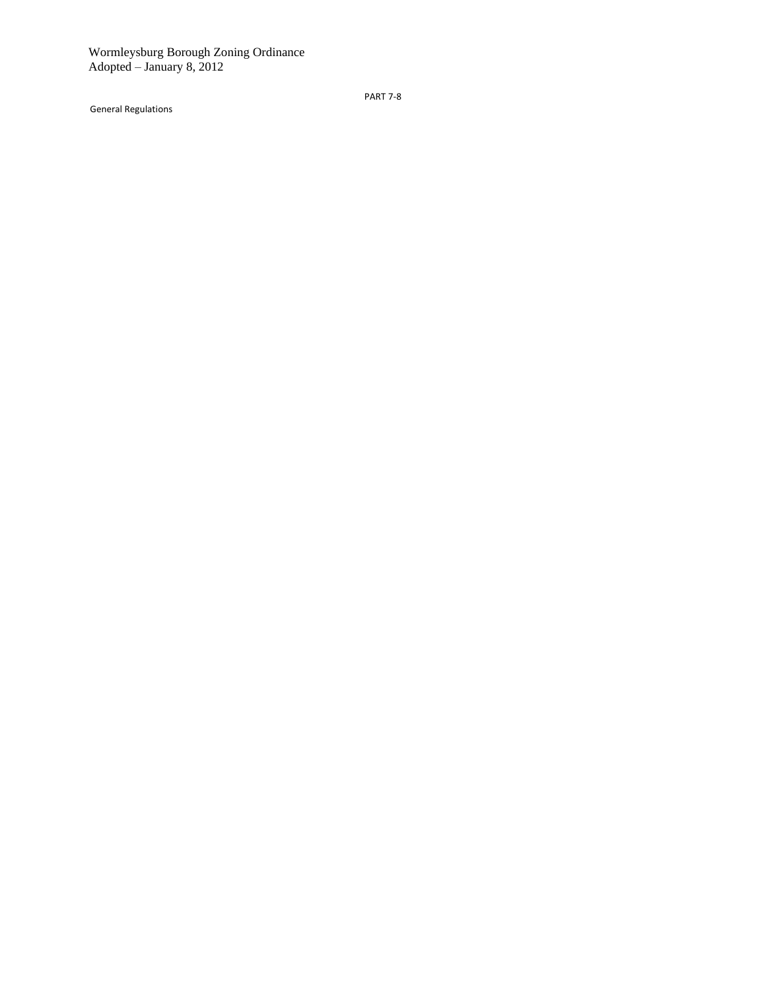General Regulations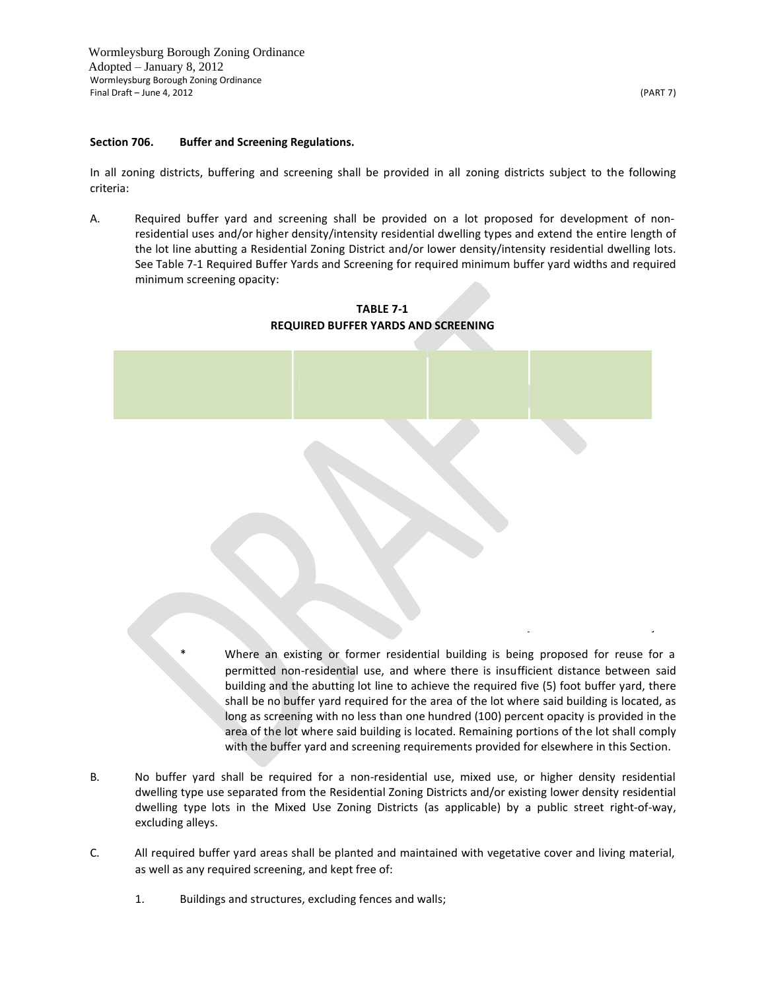Wormleysburg Borough Zoning Ordinance Adopted – January 8, 2012 Wormleysburg Borough Zoning Ordinance Final Draft – June 4, 2012 (PART 7)

### **Section 706. Buffer and Screening Regulations.**

In all zoning districts, buffering and screening shall be provided in all zoning districts subject to the following criteria:

A. Required buffer yard and screening shall be provided on a lot proposed for development of nonresidential uses and/or higher density/intensity residential dwelling types and extend the entire length of the lot line abutting a Residential Zoning District and/or lower density/intensity residential dwelling lots. See Table 7-1 Required Buffer Yards and Screening for required minimum buffer yard widths and required minimum screening opacity:



**TABLE 7-1 REQUIRED BUFFER YARDS AND SCREENING**

- Where an existing or former residential building is being proposed for reuse for a permitted non-residential use, and where there is insufficient distance between said building and the abutting lot line to achieve the required five (5) foot buffer yard, there shall be no buffer yard required for the area of the lot where said building is located, as long as screening with no less than one hundred (100) percent opacity is provided in the area of the lot where said building is located. Remaining portions of the lot shall comply with the buffer yard and screening requirements provided for elsewhere in this Section.
- B. No buffer yard shall be required for a non-residential use, mixed use, or higher density residential dwelling type use separated from the Residential Zoning Districts and/or existing lower density residential dwelling type lots in the Mixed Use Zoning Districts (as applicable) by a public street right-of-way, excluding alleys.
- C. All required buffer yard areas shall be planted and maintained with vegetative cover and living material, as well as any required screening, and kept free of:
	- 1. Buildings and structures, excluding fences and walls;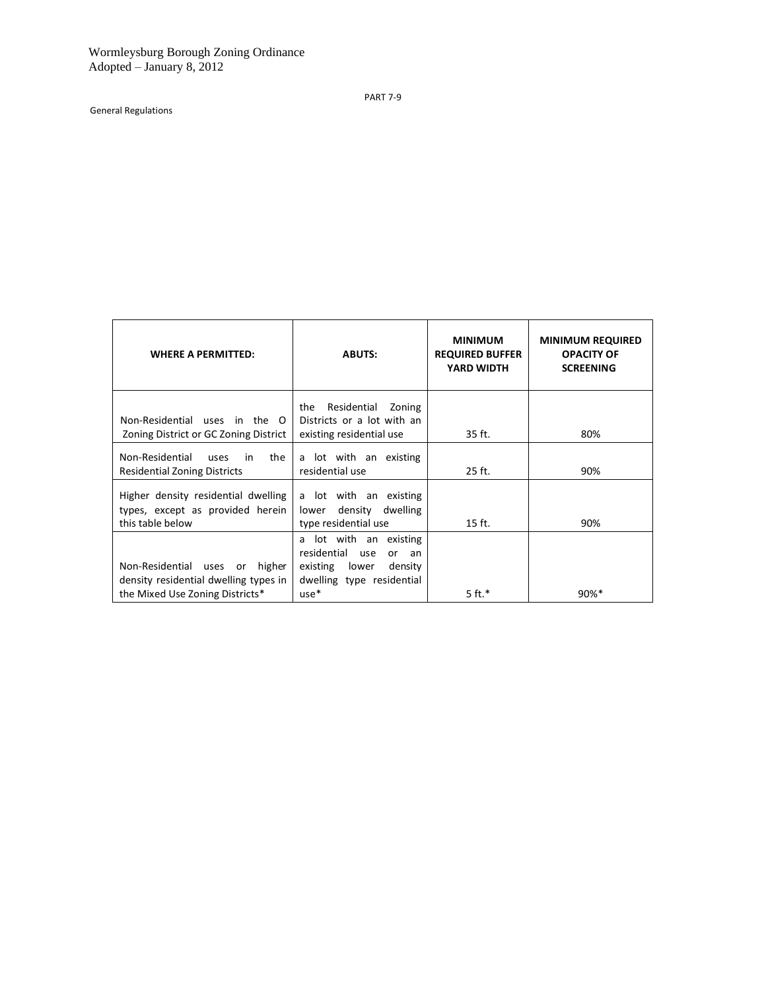General Regulations

| <b>WHERE A PERMITTED:</b>                                                                                           | <b>ABUTS:</b>                                                                                                                    | <b>MINIMUM</b><br><b>REQUIRED BUFFER</b><br><b>YARD WIDTH</b> | <b>MINIMUM REQUIRED</b><br><b>OPACITY OF</b><br><b>SCREENING</b> |
|---------------------------------------------------------------------------------------------------------------------|----------------------------------------------------------------------------------------------------------------------------------|---------------------------------------------------------------|------------------------------------------------------------------|
| Non-Residential uses in the<br><sup>o</sup><br>Zoning District or GC Zoning District                                | the<br>Residential<br>Zoning<br>Districts or a lot with an<br>existing residential use                                           | $35$ ft.                                                      | 80%                                                              |
| Non-Residential<br>the<br>uses<br>in<br><b>Residential Zoning Districts</b>                                         | lot with an existing<br>a<br>residential use                                                                                     | 25 ft.                                                        | 90%                                                              |
| Higher density residential dwelling<br>types, except as provided herein<br>this table below                         | a lot with an existing<br>density<br>dwelling<br>lower<br>type residential use                                                   | $15$ ft.                                                      | 90%                                                              |
| Non-Residential<br>higher<br>uses<br>or<br>density residential dwelling types in<br>the Mixed Use Zoning Districts* | lot with an existing<br>a<br>residential<br>use<br>or<br>an<br>existing<br>lower<br>density<br>dwelling type residential<br>use* | $5$ ft.*                                                      | $90\%$ <sup>*</sup>                                              |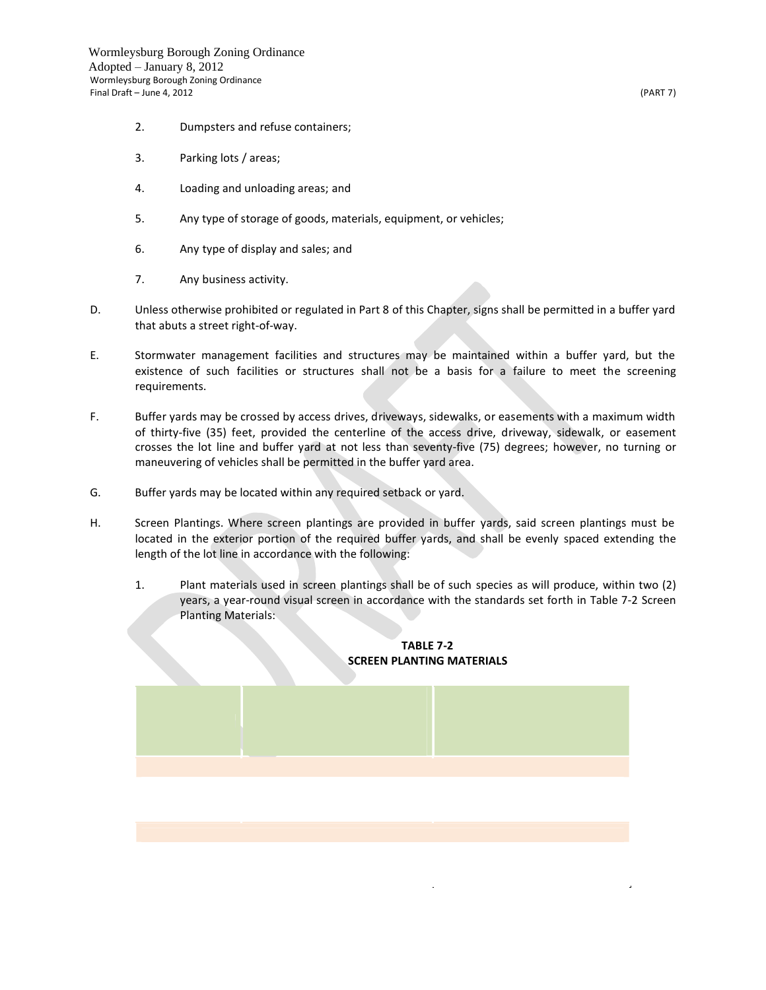- 2. Dumpsters and refuse containers;
- 3. Parking lots / areas;
- 4. Loading and unloading areas; and
- 5. Any type of storage of goods, materials, equipment, or vehicles;
- 6. Any type of display and sales; and
- 7. Any business activity.
- D. Unless otherwise prohibited or regulated in Part 8 of this Chapter, signs shall be permitted in a buffer yard that abuts a street right-of-way.
- E. Stormwater management facilities and structures may be maintained within a buffer yard, but the existence of such facilities or structures shall not be a basis for a failure to meet the screening requirements.
- F. Buffer yards may be crossed by access drives, driveways, sidewalks, or easements with a maximum width of thirty-five (35) feet, provided the centerline of the access drive, driveway, sidewalk, or easement crosses the lot line and buffer yard at not less than seventy-five (75) degrees; however, no turning or maneuvering of vehicles shall be permitted in the buffer yard area.
- G. Buffer yards may be located within any required setback or yard.
- H. Screen Plantings. Where screen plantings are provided in buffer yards, said screen plantings must be located in the exterior portion of the required buffer yards, and shall be evenly spaced extending the length of the lot line in accordance with the following:
	- 1. Plant materials used in screen plantings shall be of such species as will produce, within two (2) years, a year-round visual screen in accordance with the standards set forth in Table 7-2 Screen Planting Materials:

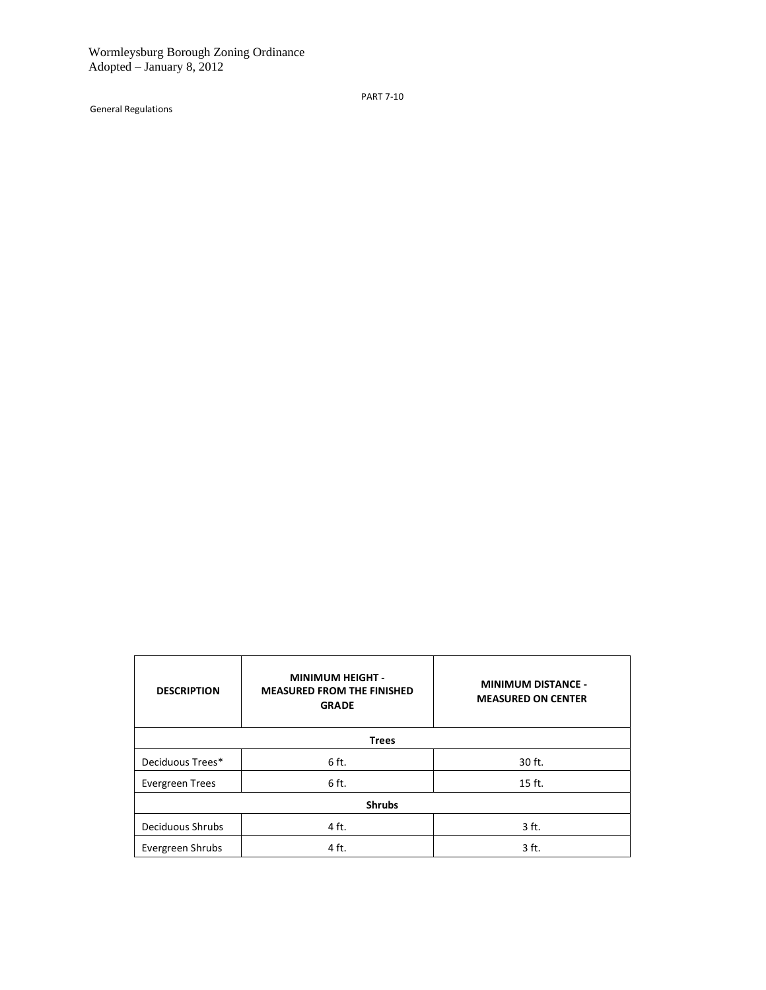General Regulations

| <b>DESCRIPTION</b>     | <b>MINIMUM HEIGHT -</b><br><b>MEASURED FROM THE FINISHED</b><br><b>GRADE</b> | <b>MINIMUM DISTANCE -</b><br><b>MEASURED ON CENTER</b> |  |  |
|------------------------|------------------------------------------------------------------------------|--------------------------------------------------------|--|--|
| <b>Trees</b>           |                                                                              |                                                        |  |  |
| Deciduous Trees*       | 6 ft.                                                                        | 30 ft.                                                 |  |  |
| <b>Evergreen Trees</b> | 6 ft.                                                                        | 15 ft.                                                 |  |  |
| <b>Shrubs</b>          |                                                                              |                                                        |  |  |
| Deciduous Shrubs       | 4 ft.                                                                        | 3 ft.                                                  |  |  |
| Evergreen Shrubs       | 4 ft.                                                                        | 3 ft.                                                  |  |  |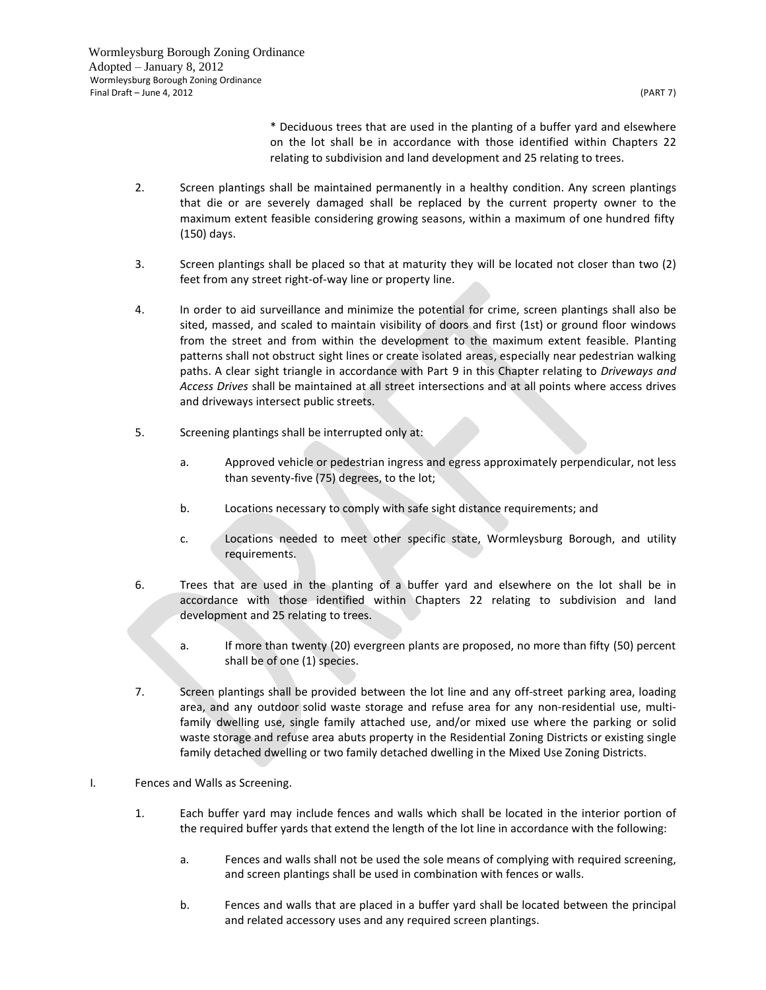\* Deciduous trees that are used in the planting of a buffer yard and elsewhere on the lot shall be in accordance with those identified within Chapters 22 relating to subdivision and land development and 25 relating to trees.

- 2. Screen plantings shall be maintained permanently in a healthy condition. Any screen plantings that die or are severely damaged shall be replaced by the current property owner to the maximum extent feasible considering growing seasons, within a maximum of one hundred fifty (150) days.
- 3. Screen plantings shall be placed so that at maturity they will be located not closer than two (2) feet from any street right-of-way line or property line.
- 4. In order to aid surveillance and minimize the potential for crime, screen plantings shall also be sited, massed, and scaled to maintain visibility of doors and first (1st) or ground floor windows from the street and from within the development to the maximum extent feasible. Planting patterns shall not obstruct sight lines or create isolated areas, especially near pedestrian walking paths. A clear sight triangle in accordance with Part 9 in this Chapter relating to *Driveways and Access Drives* shall be maintained at all street intersections and at all points where access drives and driveways intersect public streets.
- 5. Screening plantings shall be interrupted only at:
	- a. Approved vehicle or pedestrian ingress and egress approximately perpendicular, not less than seventy-five (75) degrees, to the lot;
	- b. Locations necessary to comply with safe sight distance requirements; and
	- c. Locations needed to meet other specific state, Wormleysburg Borough, and utility requirements.
- 6. Trees that are used in the planting of a buffer yard and elsewhere on the lot shall be in accordance with those identified within Chapters 22 relating to subdivision and land development and 25 relating to trees.
	- a. If more than twenty (20) evergreen plants are proposed, no more than fifty (50) percent shall be of one (1) species.
- 7. Screen plantings shall be provided between the lot line and any off-street parking area, loading area, and any outdoor solid waste storage and refuse area for any non-residential use, multifamily dwelling use, single family attached use, and/or mixed use where the parking or solid waste storage and refuse area abuts property in the Residential Zoning Districts or existing single family detached dwelling or two family detached dwelling in the Mixed Use Zoning Districts.

# I. Fences and Walls as Screening.

- 1. Each buffer yard may include fences and walls which shall be located in the interior portion of the required buffer yards that extend the length of the lot line in accordance with the following:
	- a. Fences and walls shall not be used the sole means of complying with required screening, and screen plantings shall be used in combination with fences or walls.
	- b. Fences and walls that are placed in a buffer yard shall be located between the principal and related accessory uses and any required screen plantings.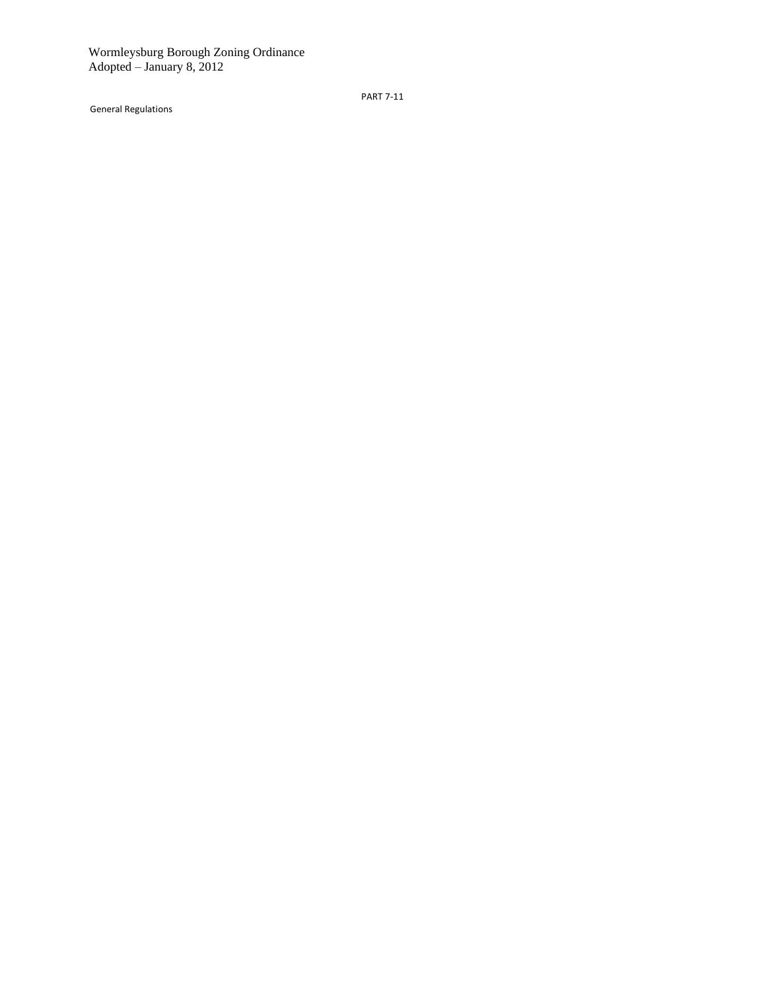General Regulations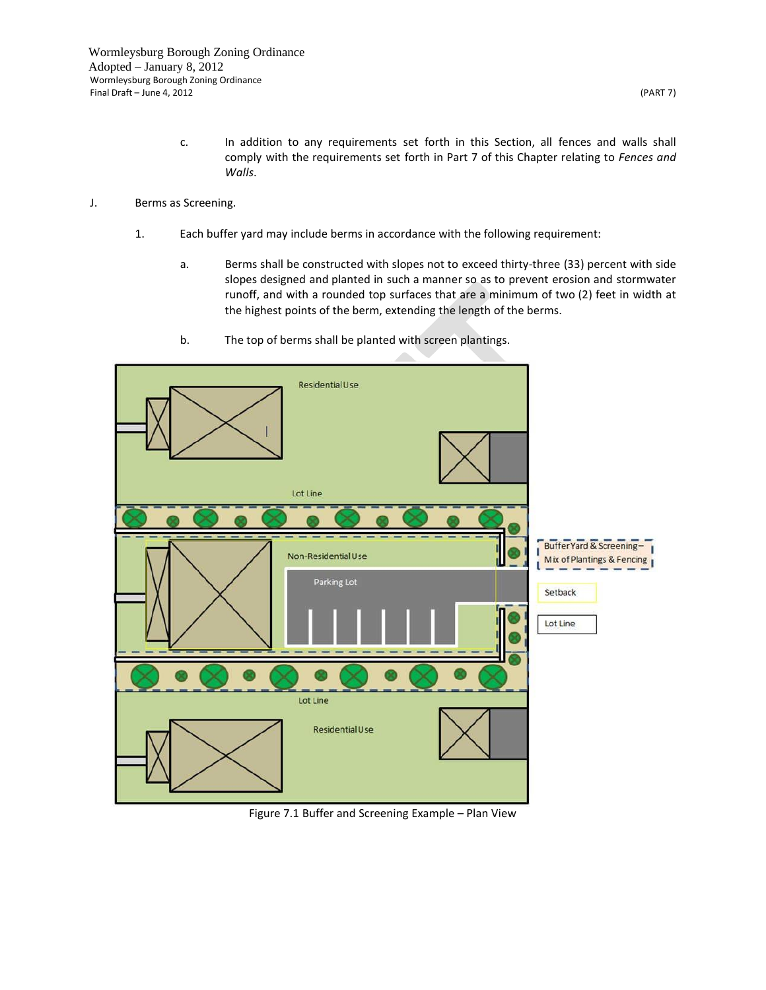- c. In addition to any requirements set forth in this Section, all fences and walls shall comply with the requirements set forth in Part 7 of this Chapter relating to *Fences and Walls*.
- J. Berms as Screening.
	- 1. Each buffer yard may include berms in accordance with the following requirement:
		- a. Berms shall be constructed with slopes not to exceed thirty-three (33) percent with side slopes designed and planted in such a manner so as to prevent erosion and stormwater runoff, and with a rounded top surfaces that are a minimum of two (2) feet in width at the highest points of the berm, extending the length of the berms.



b. The top of berms shall be planted with screen plantings.

Figure 7.1 Buffer and Screening Example – Plan View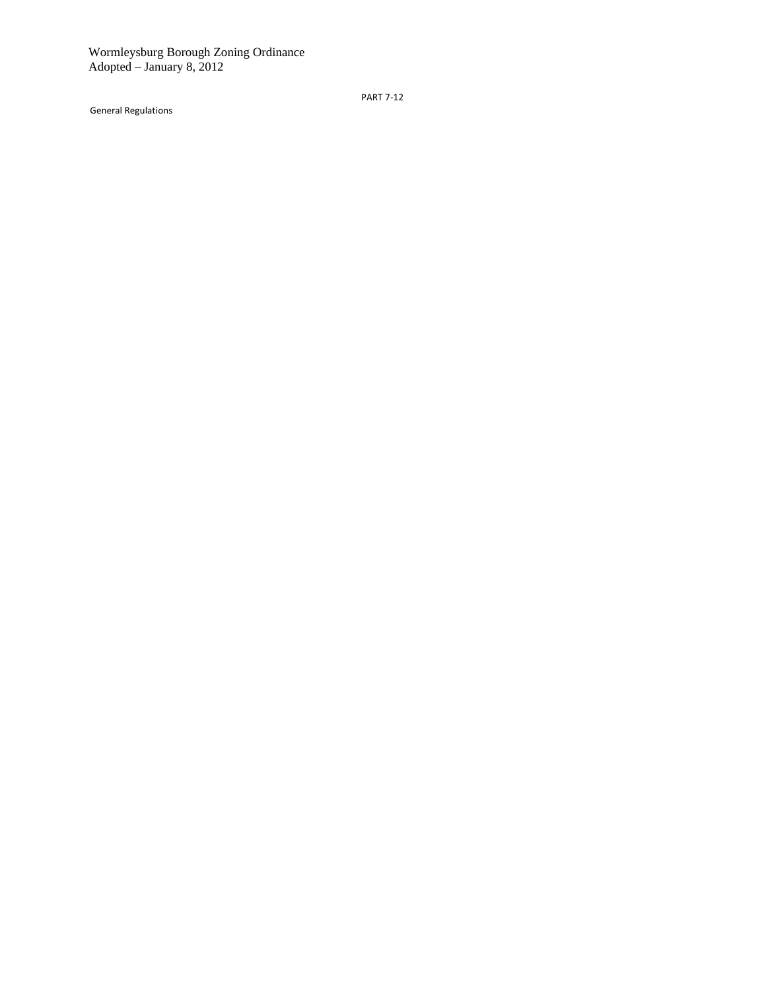General Regulations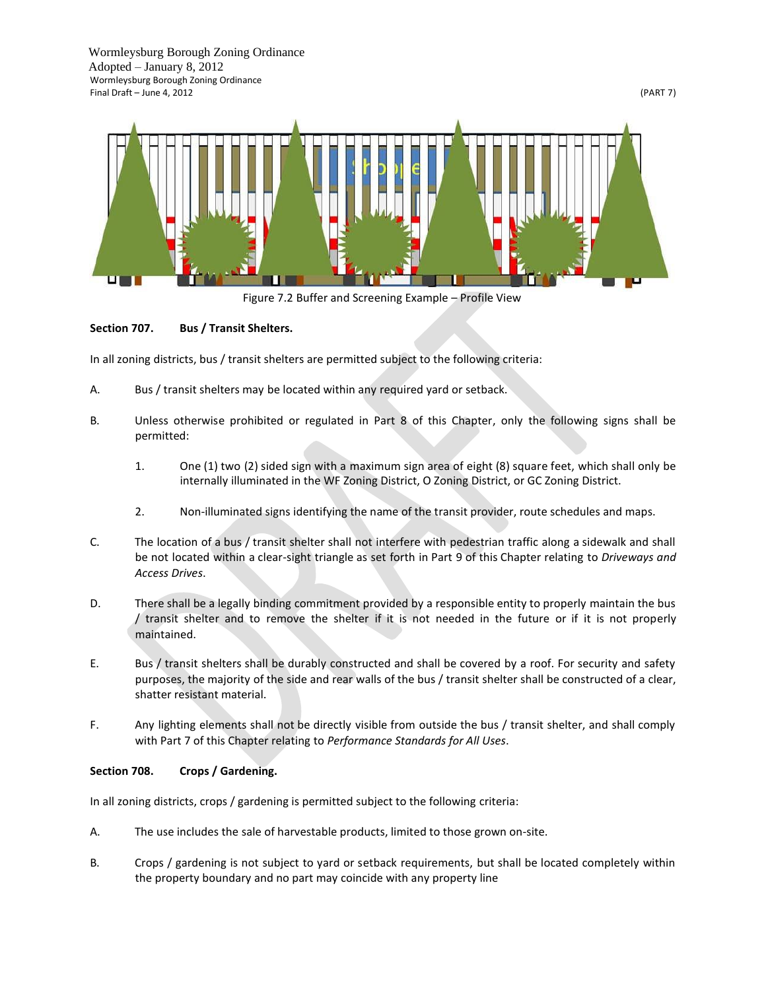Wormleysburg Borough Zoning Ordinance Adopted – January 8, 2012 Wormleysburg Borough Zoning Ordinance Final Draft – June 4, 2012 (PART 7)





Figure 7.2 Buffer and Screening Example – Profile View

## **Section 707. Bus / Transit Shelters.**

In all zoning districts, bus / transit shelters are permitted subject to the following criteria:

- A. Bus / transit shelters may be located within any required yard or setback.
- B. Unless otherwise prohibited or regulated in Part 8 of this Chapter, only the following signs shall be permitted:
	- 1. One (1) two (2) sided sign with a maximum sign area of eight (8) square feet, which shall only be internally illuminated in the WF Zoning District, O Zoning District, or GC Zoning District.
	- 2. Non-illuminated signs identifying the name of the transit provider, route schedules and maps.
- C. The location of a bus / transit shelter shall not interfere with pedestrian traffic along a sidewalk and shall be not located within a clear-sight triangle as set forth in Part 9 of this Chapter relating to *Driveways and Access Drives*.
- D. There shall be a legally binding commitment provided by a responsible entity to properly maintain the bus / transit shelter and to remove the shelter if it is not needed in the future or if it is not properly maintained.
- E. Bus / transit shelters shall be durably constructed and shall be covered by a roof. For security and safety purposes, the majority of the side and rear walls of the bus / transit shelter shall be constructed of a clear, shatter resistant material.
- F. Any lighting elements shall not be directly visible from outside the bus / transit shelter, and shall comply with Part 7 of this Chapter relating to *Performance Standards for All Uses*.

# **Section 708. Crops / Gardening.**

In all zoning districts, crops / gardening is permitted subject to the following criteria:

- A. The use includes the sale of harvestable products, limited to those grown on-site.
- B. Crops / gardening is not subject to yard or setback requirements, but shall be located completely within the property boundary and no part may coincide with any property line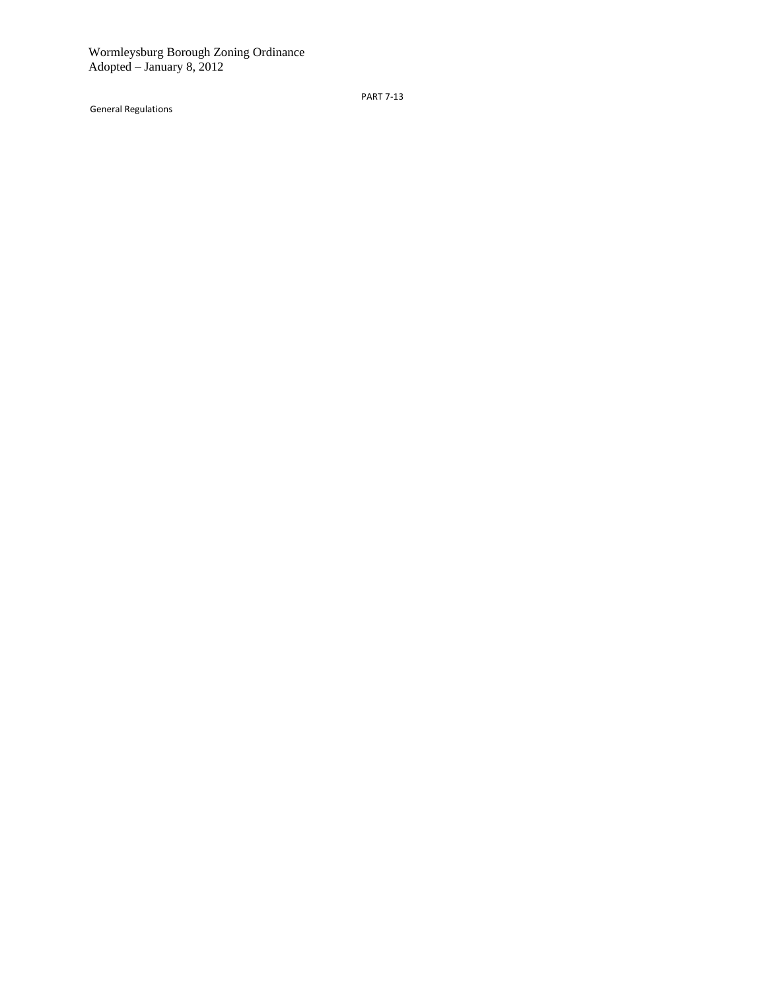General Regulations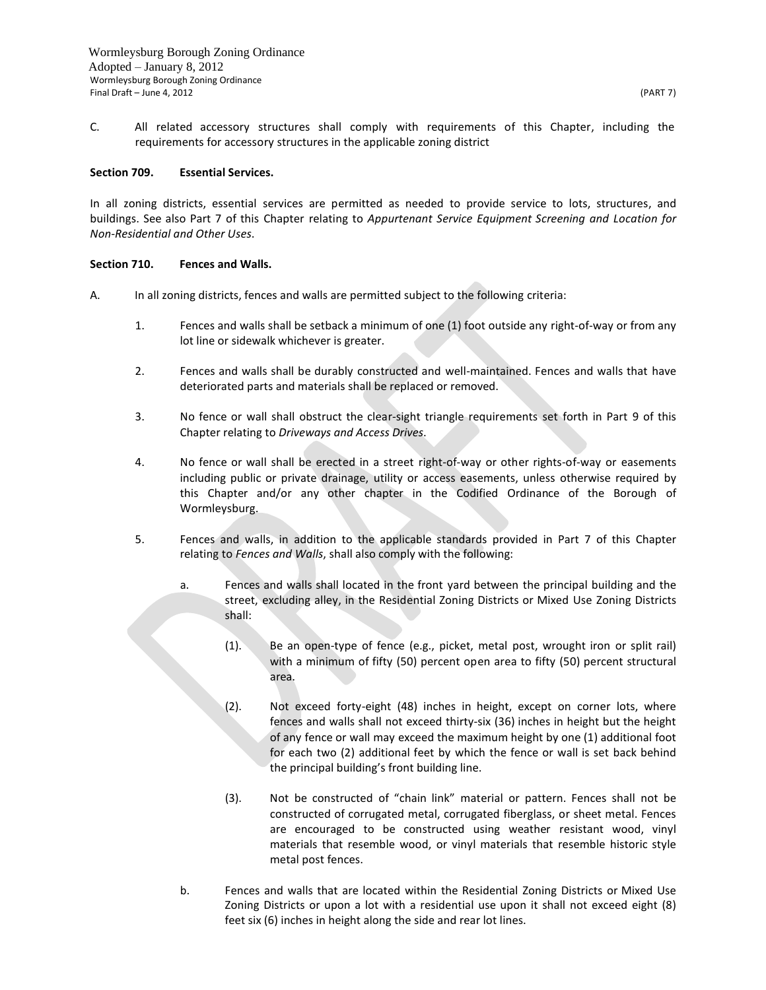C. All related accessory structures shall comply with requirements of this Chapter, including the requirements for accessory structures in the applicable zoning district

### **Section 709. Essential Services.**

In all zoning districts, essential services are permitted as needed to provide service to lots, structures, and buildings. See also Part 7 of this Chapter relating to *Appurtenant Service Equipment Screening and Location for Non-Residential and Other Uses*.

#### **Section 710. Fences and Walls.**

- A. In all zoning districts, fences and walls are permitted subject to the following criteria:
	- 1. Fences and walls shall be setback a minimum of one (1) foot outside any right-of-way or from any lot line or sidewalk whichever is greater.
	- 2. Fences and walls shall be durably constructed and well-maintained. Fences and walls that have deteriorated parts and materials shall be replaced or removed.
	- 3. No fence or wall shall obstruct the clear-sight triangle requirements set forth in Part 9 of this Chapter relating to *Driveways and Access Drives*.
	- 4. No fence or wall shall be erected in a street right-of-way or other rights-of-way or easements including public or private drainage, utility or access easements, unless otherwise required by this Chapter and/or any other chapter in the Codified Ordinance of the Borough of Wormleysburg.
	- 5. Fences and walls, in addition to the applicable standards provided in Part 7 of this Chapter relating to *Fences and Walls*, shall also comply with the following:
		- a. Fences and walls shall located in the front yard between the principal building and the street, excluding alley, in the Residential Zoning Districts or Mixed Use Zoning Districts shall:
			- (1). Be an open-type of fence (e.g., picket, metal post, wrought iron or split rail) with a minimum of fifty (50) percent open area to fifty (50) percent structural area.
			- (2). Not exceed forty-eight (48) inches in height, except on corner lots, where fences and walls shall not exceed thirty-six (36) inches in height but the height of any fence or wall may exceed the maximum height by one (1) additional foot for each two (2) additional feet by which the fence or wall is set back behind the principal building's front building line.
			- (3). Not be constructed of "chain link" material or pattern. Fences shall not be constructed of corrugated metal, corrugated fiberglass, or sheet metal. Fences are encouraged to be constructed using weather resistant wood, vinyl materials that resemble wood, or vinyl materials that resemble historic style metal post fences.
		- b. Fences and walls that are located within the Residential Zoning Districts or Mixed Use Zoning Districts or upon a lot with a residential use upon it shall not exceed eight (8) feet six (6) inches in height along the side and rear lot lines.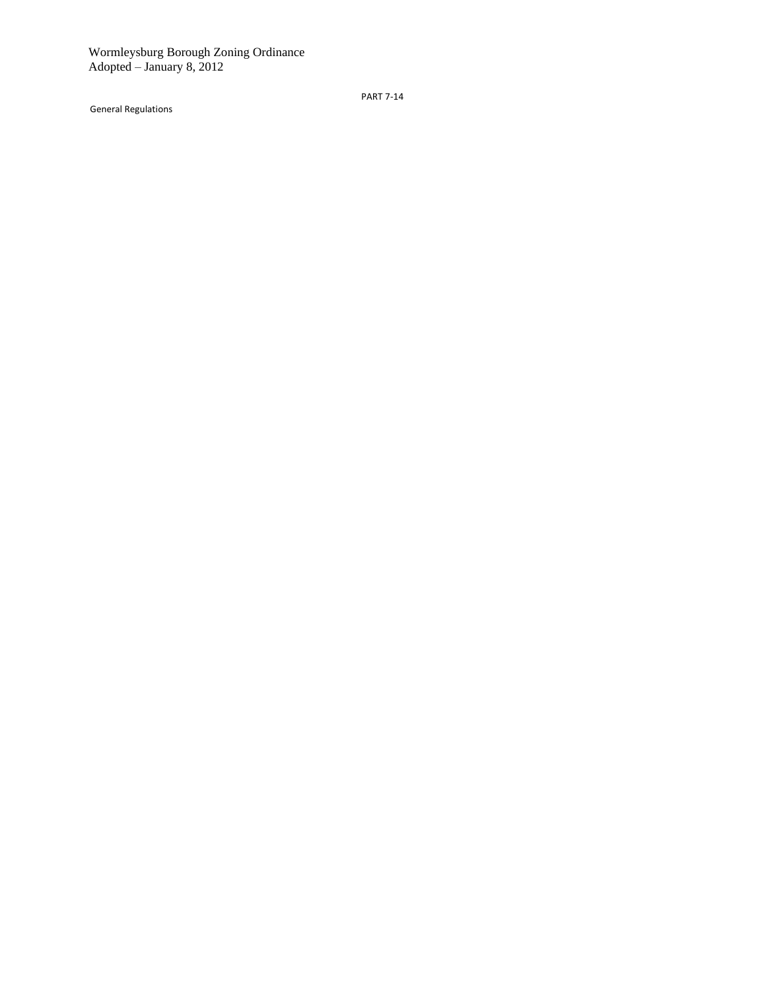General Regulations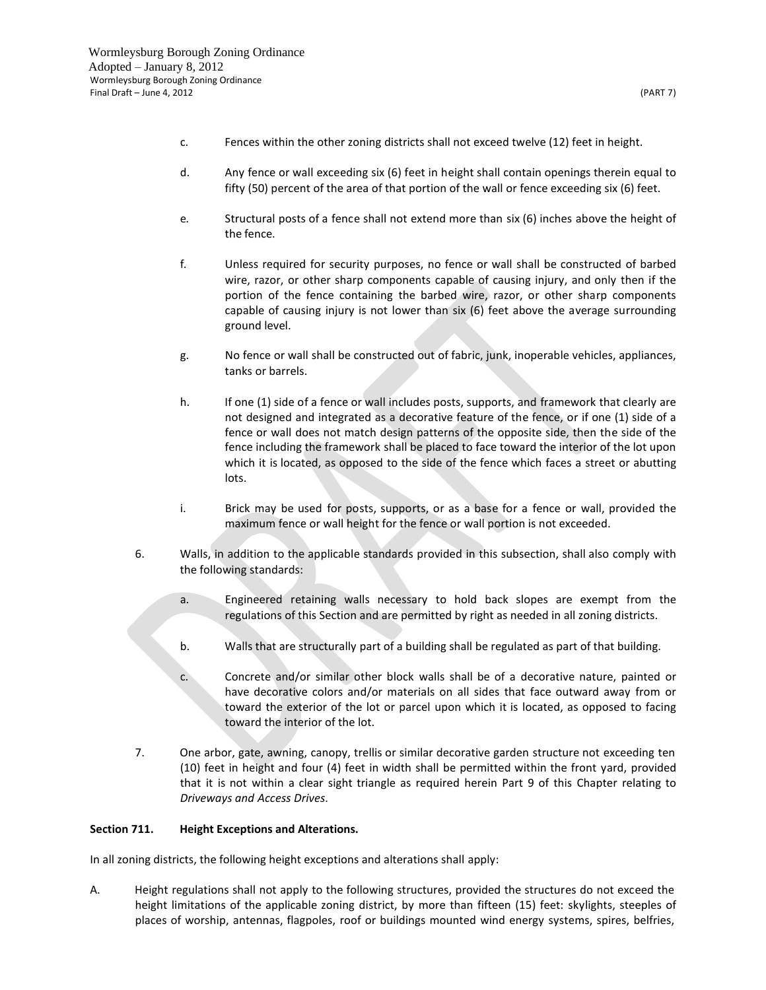- c. Fences within the other zoning districts shall not exceed twelve (12) feet in height.
- d. Any fence or wall exceeding six (6) feet in height shall contain openings therein equal to fifty (50) percent of the area of that portion of the wall or fence exceeding six (6) feet.
- e. Structural posts of a fence shall not extend more than six (6) inches above the height of the fence.
- f. Unless required for security purposes, no fence or wall shall be constructed of barbed wire, razor, or other sharp components capable of causing injury, and only then if the portion of the fence containing the barbed wire, razor, or other sharp components capable of causing injury is not lower than six (6) feet above the average surrounding ground level.
- g. No fence or wall shall be constructed out of fabric, junk, inoperable vehicles, appliances, tanks or barrels.
- h. If one (1) side of a fence or wall includes posts, supports, and framework that clearly are not designed and integrated as a decorative feature of the fence, or if one (1) side of a fence or wall does not match design patterns of the opposite side, then the side of the fence including the framework shall be placed to face toward the interior of the lot upon which it is located, as opposed to the side of the fence which faces a street or abutting lots.
- i. Brick may be used for posts, supports, or as a base for a fence or wall, provided the maximum fence or wall height for the fence or wall portion is not exceeded.
- 6. Walls, in addition to the applicable standards provided in this subsection, shall also comply with the following standards:
	- a. Engineered retaining walls necessary to hold back slopes are exempt from the regulations of this Section and are permitted by right as needed in all zoning districts.
	- b. Walls that are structurally part of a building shall be regulated as part of that building.
	- c. Concrete and/or similar other block walls shall be of a decorative nature, painted or have decorative colors and/or materials on all sides that face outward away from or toward the exterior of the lot or parcel upon which it is located, as opposed to facing toward the interior of the lot.
- 7. One arbor, gate, awning, canopy, trellis or similar decorative garden structure not exceeding ten (10) feet in height and four (4) feet in width shall be permitted within the front yard, provided that it is not within a clear sight triangle as required herein Part 9 of this Chapter relating to *Driveways and Access Drives*.

### **Section 711. Height Exceptions and Alterations.**

In all zoning districts, the following height exceptions and alterations shall apply:

A. Height regulations shall not apply to the following structures, provided the structures do not exceed the height limitations of the applicable zoning district, by more than fifteen (15) feet: skylights, steeples of places of worship, antennas, flagpoles, roof or buildings mounted wind energy systems, spires, belfries,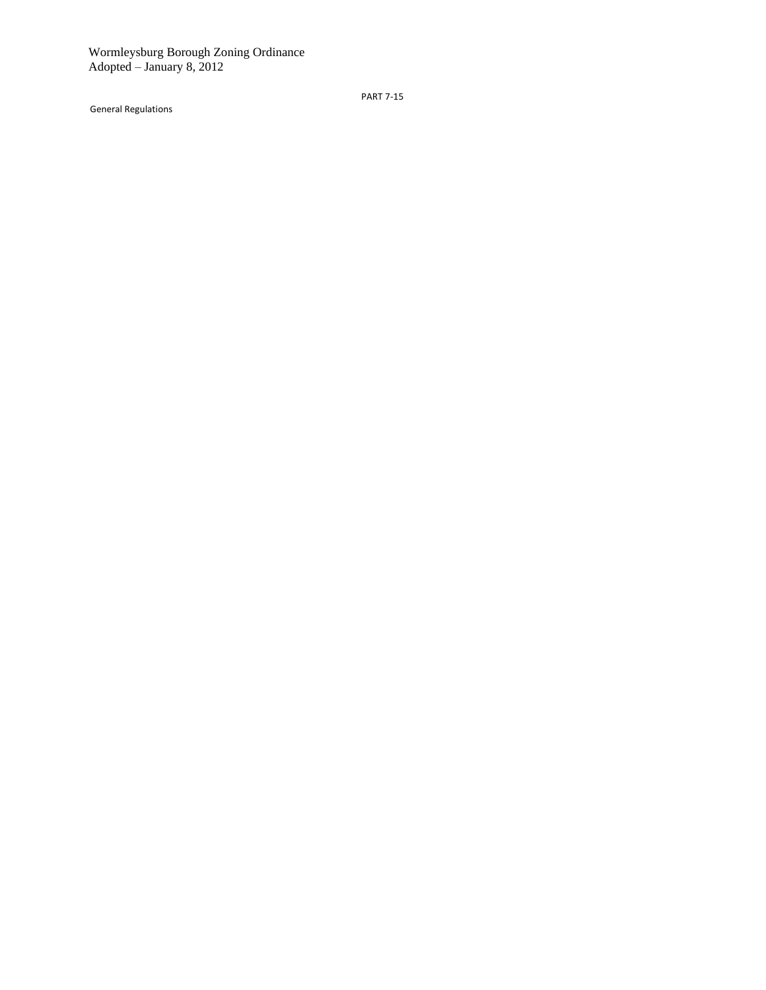General Regulations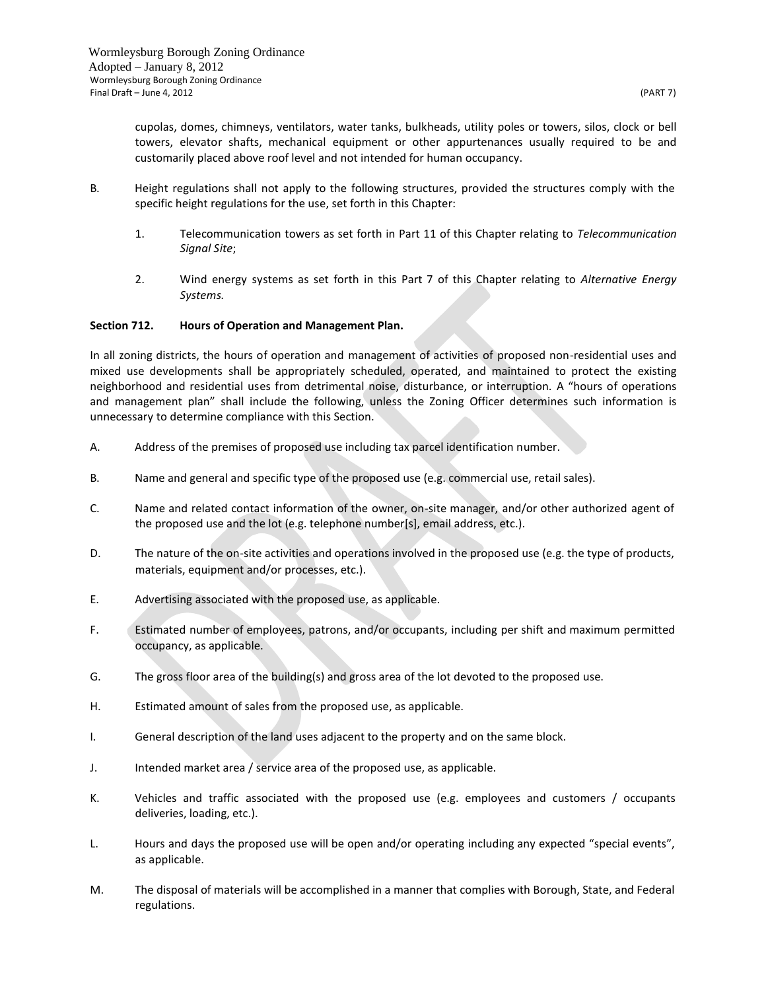cupolas, domes, chimneys, ventilators, water tanks, bulkheads, utility poles or towers, silos, clock or bell towers, elevator shafts, mechanical equipment or other appurtenances usually required to be and customarily placed above roof level and not intended for human occupancy.

- B. Height regulations shall not apply to the following structures, provided the structures comply with the specific height regulations for the use, set forth in this Chapter:
	- 1. Telecommunication towers as set forth in Part 11 of this Chapter relating to *Telecommunication Signal Site*;
	- 2. Wind energy systems as set forth in this Part 7 of this Chapter relating to *Alternative Energy Systems.*

## **Section 712. Hours of Operation and Management Plan.**

In all zoning districts, the hours of operation and management of activities of proposed non-residential uses and mixed use developments shall be appropriately scheduled, operated, and maintained to protect the existing neighborhood and residential uses from detrimental noise, disturbance, or interruption. A "hours of operations and management plan" shall include the following, unless the Zoning Officer determines such information is unnecessary to determine compliance with this Section.

- A. Address of the premises of proposed use including tax parcel identification number.
- B. Name and general and specific type of the proposed use (e.g. commercial use, retail sales).
- C. Name and related contact information of the owner, on-site manager, and/or other authorized agent of the proposed use and the lot (e.g. telephone number[s], email address, etc.).
- D. The nature of the on-site activities and operations involved in the proposed use (e.g. the type of products, materials, equipment and/or processes, etc.).
- E. Advertising associated with the proposed use, as applicable.
- F. Estimated number of employees, patrons, and/or occupants, including per shift and maximum permitted occupancy, as applicable.
- G. The gross floor area of the building(s) and gross area of the lot devoted to the proposed use.
- H. Estimated amount of sales from the proposed use, as applicable.
- I. General description of the land uses adjacent to the property and on the same block.
- J. Intended market area / service area of the proposed use, as applicable.
- K. Vehicles and traffic associated with the proposed use (e.g. employees and customers / occupants deliveries, loading, etc.).
- L. Hours and days the proposed use will be open and/or operating including any expected "special events", as applicable.
- M. The disposal of materials will be accomplished in a manner that complies with Borough, State, and Federal regulations.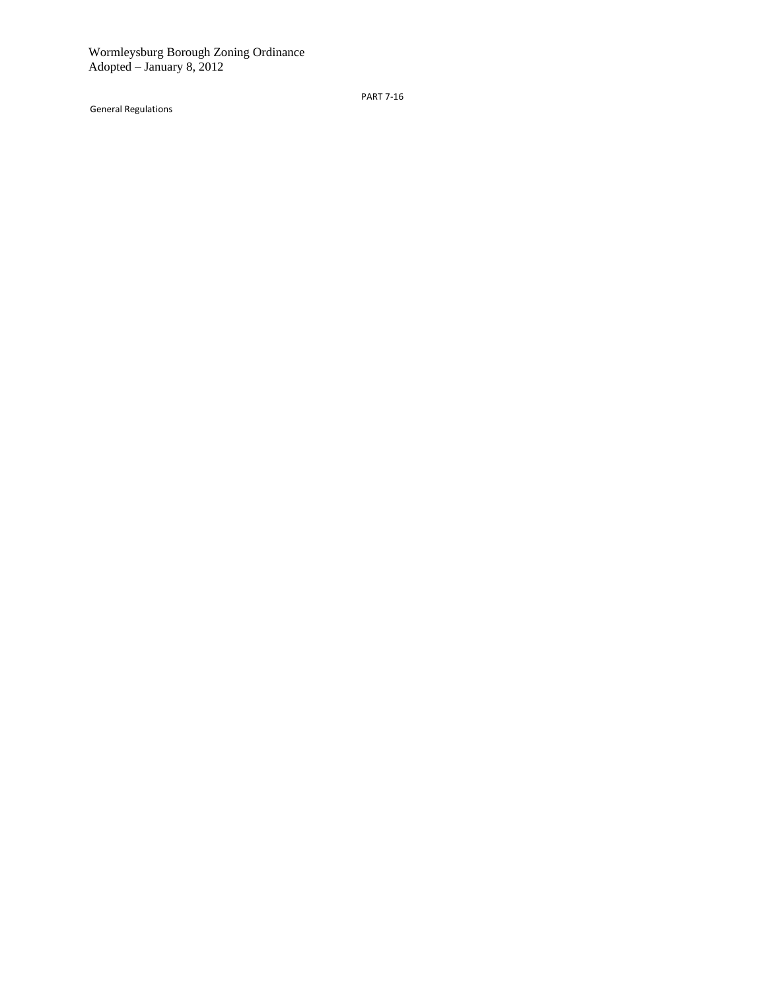General Regulations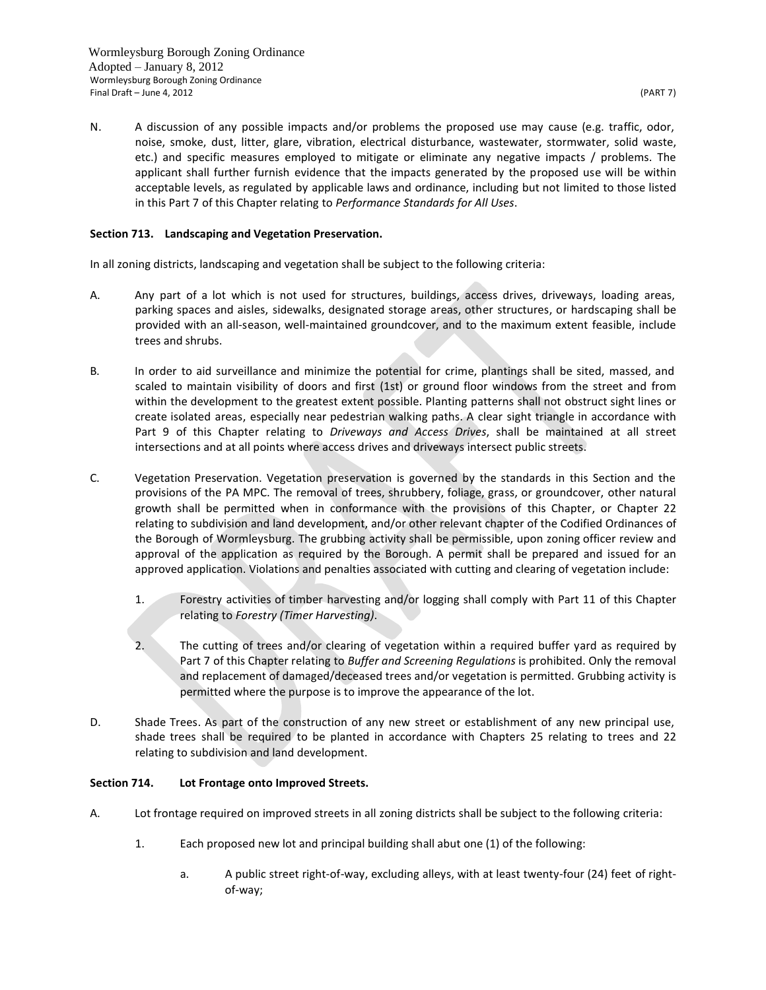N. A discussion of any possible impacts and/or problems the proposed use may cause (e.g. traffic, odor, noise, smoke, dust, litter, glare, vibration, electrical disturbance, wastewater, stormwater, solid waste, etc.) and specific measures employed to mitigate or eliminate any negative impacts / problems. The applicant shall further furnish evidence that the impacts generated by the proposed use will be within acceptable levels, as regulated by applicable laws and ordinance, including but not limited to those listed in this Part 7 of this Chapter relating to *Performance Standards for All Uses*.

## **Section 713. Landscaping and Vegetation Preservation.**

In all zoning districts, landscaping and vegetation shall be subject to the following criteria:

- A. Any part of a lot which is not used for structures, buildings, access drives, driveways, loading areas, parking spaces and aisles, sidewalks, designated storage areas, other structures, or hardscaping shall be provided with an all-season, well-maintained groundcover, and to the maximum extent feasible, include trees and shrubs.
- B. In order to aid surveillance and minimize the potential for crime, plantings shall be sited, massed, and scaled to maintain visibility of doors and first (1st) or ground floor windows from the street and from within the development to the greatest extent possible. Planting patterns shall not obstruct sight lines or create isolated areas, especially near pedestrian walking paths. A clear sight triangle in accordance with Part 9 of this Chapter relating to *Driveways and Access Drives*, shall be maintained at all street intersections and at all points where access drives and driveways intersect public streets.
- C. Vegetation Preservation. Vegetation preservation is governed by the standards in this Section and the provisions of the PA MPC. The removal of trees, shrubbery, foliage, grass, or groundcover, other natural growth shall be permitted when in conformance with the provisions of this Chapter, or Chapter 22 relating to subdivision and land development, and/or other relevant chapter of the Codified Ordinances of the Borough of Wormleysburg. The grubbing activity shall be permissible, upon zoning officer review and approval of the application as required by the Borough. A permit shall be prepared and issued for an approved application. Violations and penalties associated with cutting and clearing of vegetation include:
	- 1. Forestry activities of timber harvesting and/or logging shall comply with Part 11 of this Chapter relating to *Forestry (Timer Harvesting)*.
	- 2. The cutting of trees and/or clearing of vegetation within a required buffer yard as required by Part 7 of this Chapter relating to *Buffer and Screening Regulations* is prohibited. Only the removal and replacement of damaged/deceased trees and/or vegetation is permitted. Grubbing activity is permitted where the purpose is to improve the appearance of the lot.
- D. Shade Trees. As part of the construction of any new street or establishment of any new principal use, shade trees shall be required to be planted in accordance with Chapters 25 relating to trees and 22 relating to subdivision and land development.

### **Section 714. Lot Frontage onto Improved Streets.**

- A. Lot frontage required on improved streets in all zoning districts shall be subject to the following criteria:
	- 1. Each proposed new lot and principal building shall abut one (1) of the following:
		- a. A public street right-of-way, excluding alleys, with at least twenty-four (24) feet of rightof-way;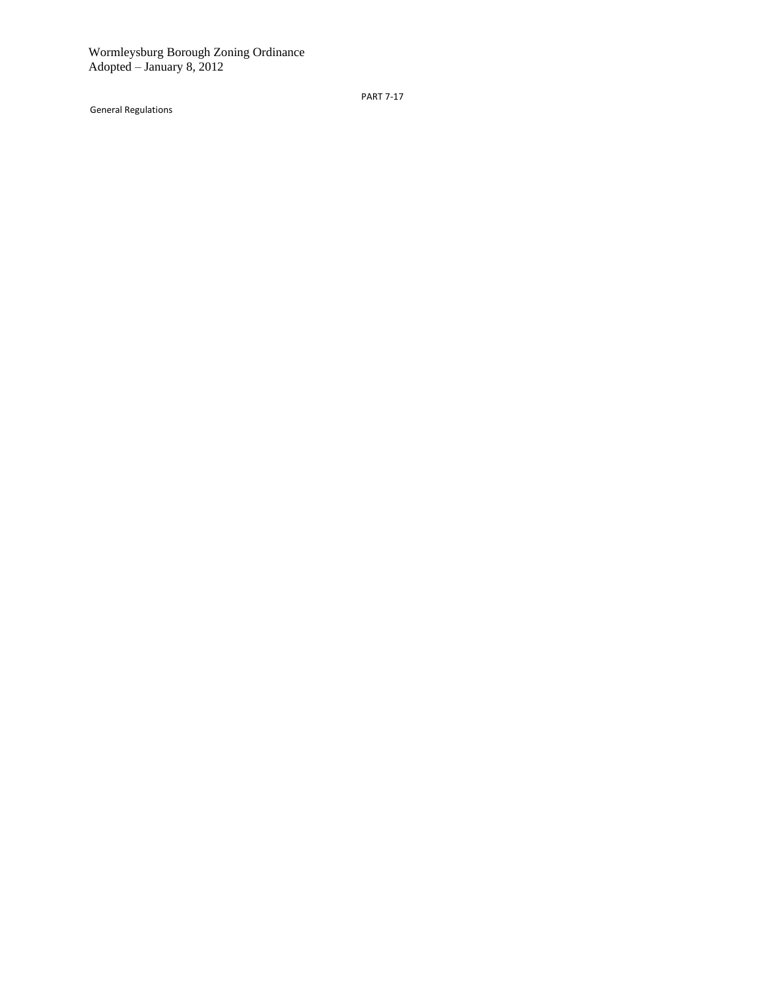General Regulations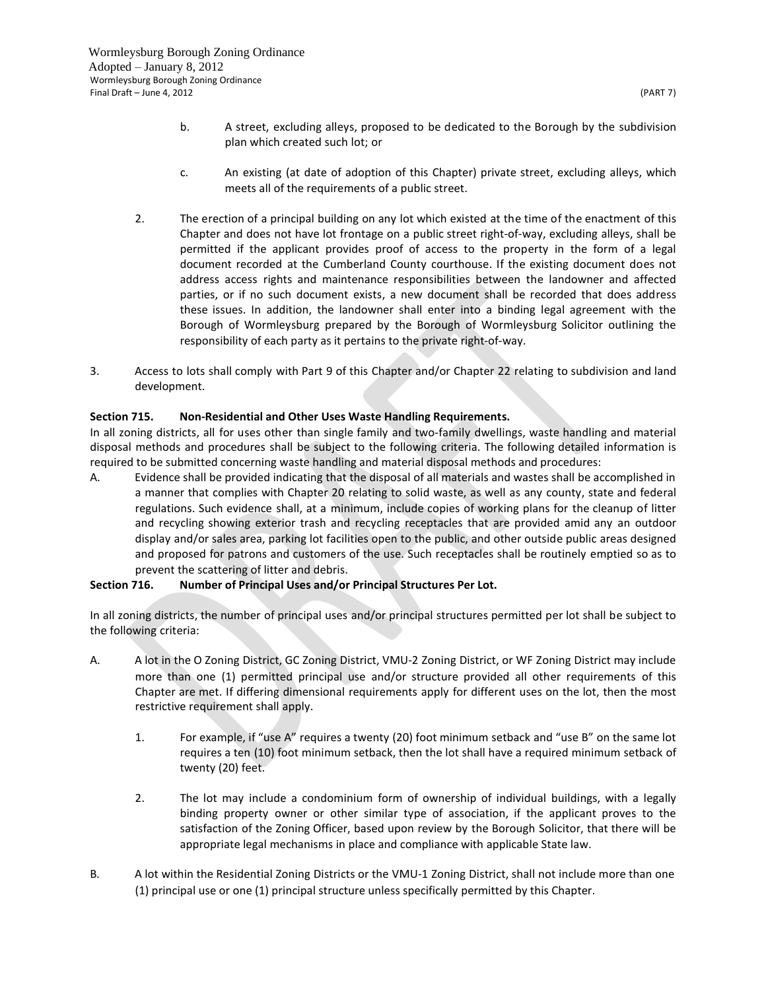- b. A street, excluding alleys, proposed to be dedicated to the Borough by the subdivision plan which created such lot; or
- c. An existing (at date of adoption of this Chapter) private street, excluding alleys, which meets all of the requirements of a public street.
- 2. The erection of a principal building on any lot which existed at the time of the enactment of this Chapter and does not have lot frontage on a public street right-of-way, excluding alleys, shall be permitted if the applicant provides proof of access to the property in the form of a legal document recorded at the Cumberland County courthouse. If the existing document does not address access rights and maintenance responsibilities between the landowner and affected parties, or if no such document exists, a new document shall be recorded that does address these issues. In addition, the landowner shall enter into a binding legal agreement with the Borough of Wormleysburg prepared by the Borough of Wormleysburg Solicitor outlining the responsibility of each party as it pertains to the private right-of-way.
- 3. Access to lots shall comply with Part 9 of this Chapter and/or Chapter 22 relating to subdivision and land development.

# **Section 715. Non-Residential and Other Uses Waste Handling Requirements.**

In all zoning districts, all for uses other than single family and two-family dwellings, waste handling and material disposal methods and procedures shall be subject to the following criteria. The following detailed information is required to be submitted concerning waste handling and material disposal methods and procedures:

A. Evidence shall be provided indicating that the disposal of all materials and wastes shall be accomplished in a manner that complies with Chapter 20 relating to solid waste, as well as any county, state and federal regulations. Such evidence shall, at a minimum, include copies of working plans for the cleanup of litter and recycling showing exterior trash and recycling receptacles that are provided amid any an outdoor display and/or sales area, parking lot facilities open to the public, and other outside public areas designed and proposed for patrons and customers of the use. Such receptacles shall be routinely emptied so as to prevent the scattering of litter and debris.

### **Section 716. Number of Principal Uses and/or Principal Structures Per Lot.**

In all zoning districts, the number of principal uses and/or principal structures permitted per lot shall be subject to the following criteria:

- A. A lot in the O Zoning District, GC Zoning District, VMU-2 Zoning District, or WF Zoning District may include more than one (1) permitted principal use and/or structure provided all other requirements of this Chapter are met. If differing dimensional requirements apply for different uses on the lot, then the most restrictive requirement shall apply.
	- 1. For example, if "use A" requires a twenty (20) foot minimum setback and "use B" on the same lot requires a ten (10) foot minimum setback, then the lot shall have a required minimum setback of twenty (20) feet.
	- 2. The lot may include a condominium form of ownership of individual buildings, with a legally binding property owner or other similar type of association, if the applicant proves to the satisfaction of the Zoning Officer, based upon review by the Borough Solicitor, that there will be appropriate legal mechanisms in place and compliance with applicable State law.
- B. A lot within the Residential Zoning Districts or the VMU-1 Zoning District, shall not include more than one (1) principal use or one (1) principal structure unless specifically permitted by this Chapter.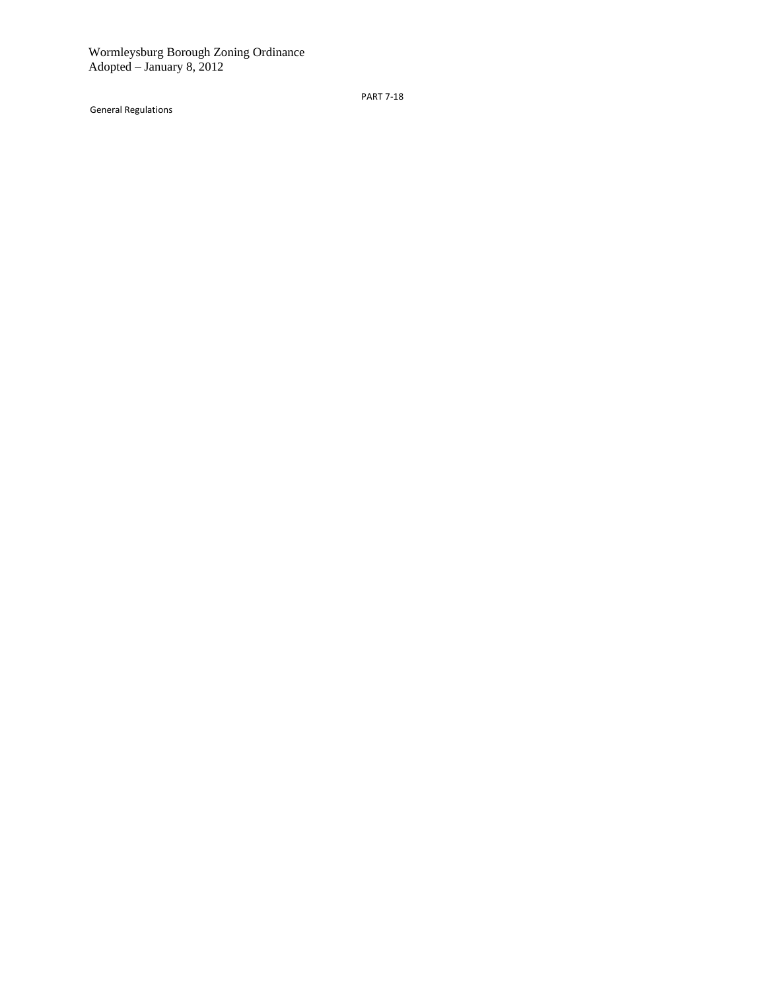General Regulations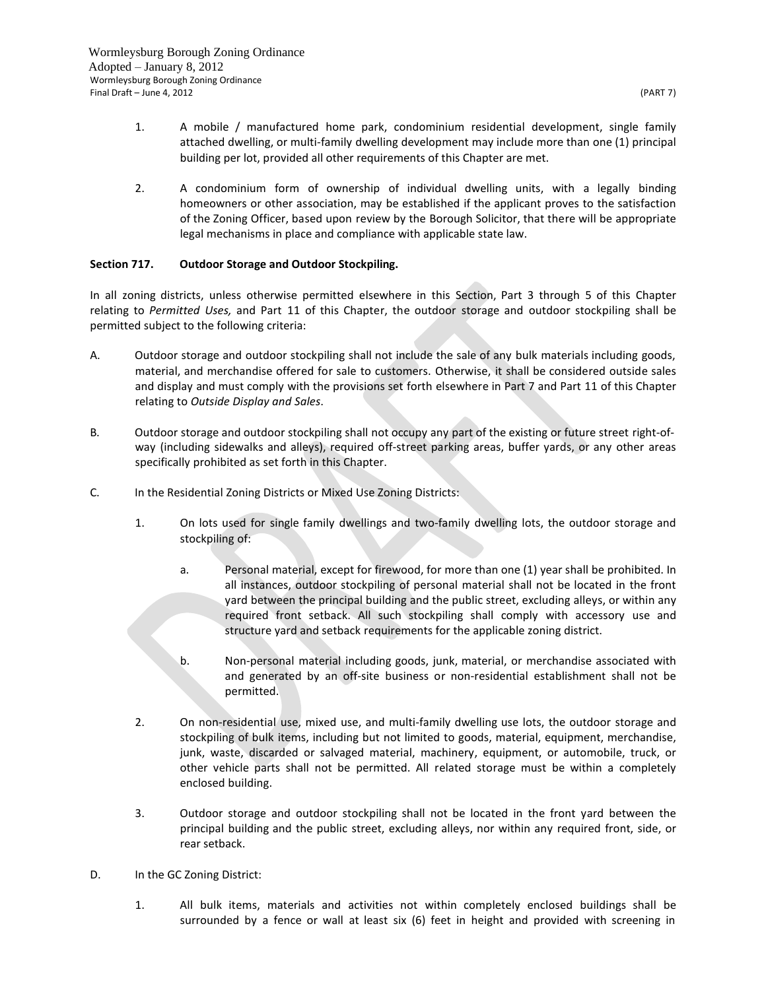- 1. A mobile / manufactured home park, condominium residential development, single family attached dwelling, or multi-family dwelling development may include more than one (1) principal building per lot, provided all other requirements of this Chapter are met.
- 2. A condominium form of ownership of individual dwelling units, with a legally binding homeowners or other association, may be established if the applicant proves to the satisfaction of the Zoning Officer, based upon review by the Borough Solicitor, that there will be appropriate legal mechanisms in place and compliance with applicable state law.

### **Section 717. Outdoor Storage and Outdoor Stockpiling.**

In all zoning districts, unless otherwise permitted elsewhere in this Section, Part 3 through 5 of this Chapter relating to *Permitted Uses,* and Part 11 of this Chapter, the outdoor storage and outdoor stockpiling shall be permitted subject to the following criteria:

- A. Outdoor storage and outdoor stockpiling shall not include the sale of any bulk materials including goods, material, and merchandise offered for sale to customers. Otherwise, it shall be considered outside sales and display and must comply with the provisions set forth elsewhere in Part 7 and Part 11 of this Chapter relating to *Outside Display and Sales*.
- B. Outdoor storage and outdoor stockpiling shall not occupy any part of the existing or future street right-ofway (including sidewalks and alleys), required off-street parking areas, buffer yards, or any other areas specifically prohibited as set forth in this Chapter.
- C. In the Residential Zoning Districts or Mixed Use Zoning Districts:
	- 1. On lots used for single family dwellings and two-family dwelling lots, the outdoor storage and stockpiling of:
		- a. Personal material, except for firewood, for more than one (1) year shall be prohibited. In all instances, outdoor stockpiling of personal material shall not be located in the front yard between the principal building and the public street, excluding alleys, or within any required front setback. All such stockpiling shall comply with accessory use and structure yard and setback requirements for the applicable zoning district.
		- b. Non-personal material including goods, junk, material, or merchandise associated with and generated by an off-site business or non-residential establishment shall not be permitted.
	- 2. On non-residential use, mixed use, and multi-family dwelling use lots, the outdoor storage and stockpiling of bulk items, including but not limited to goods, material, equipment, merchandise, junk, waste, discarded or salvaged material, machinery, equipment, or automobile, truck, or other vehicle parts shall not be permitted. All related storage must be within a completely enclosed building.
	- 3. Outdoor storage and outdoor stockpiling shall not be located in the front yard between the principal building and the public street, excluding alleys, nor within any required front, side, or rear setback.
- D. In the GC Zoning District:
	- 1. All bulk items, materials and activities not within completely enclosed buildings shall be surrounded by a fence or wall at least six (6) feet in height and provided with screening in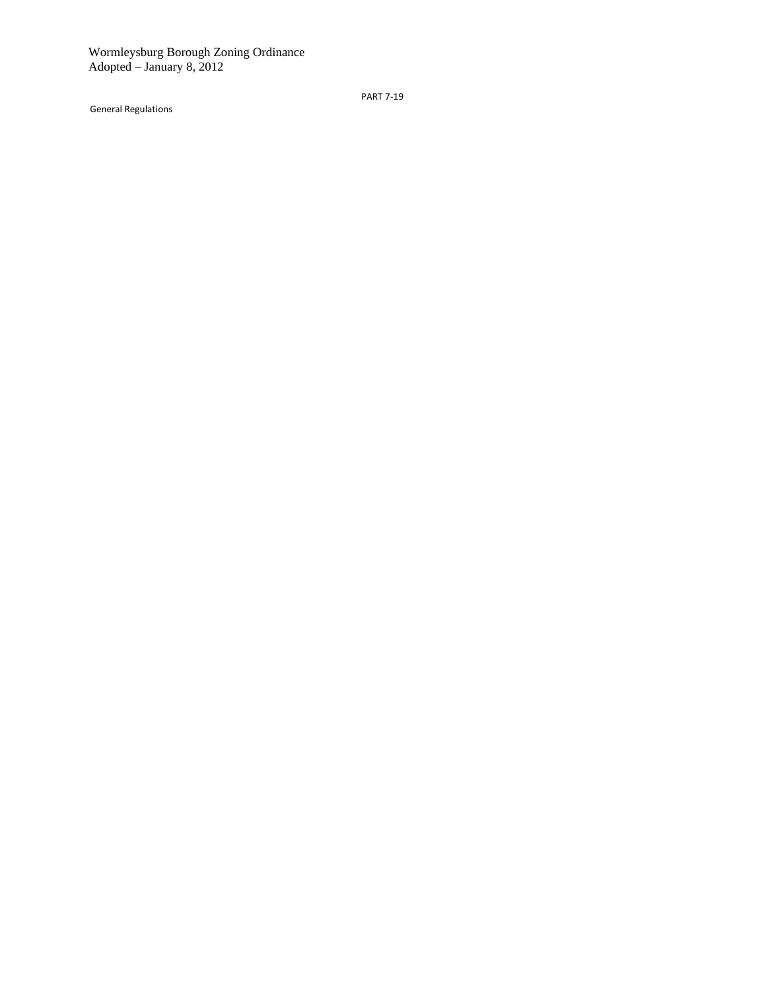General Regulations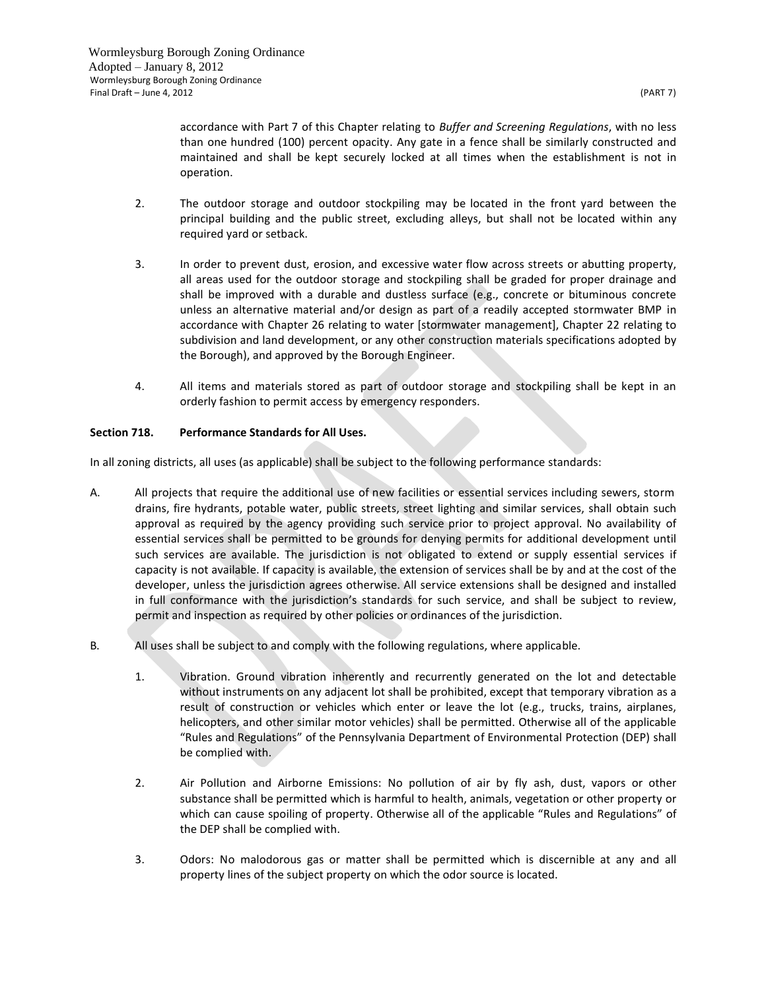accordance with Part 7 of this Chapter relating to *Buffer and Screening Regulations*, with no less than one hundred (100) percent opacity. Any gate in a fence shall be similarly constructed and maintained and shall be kept securely locked at all times when the establishment is not in operation.

- 2. The outdoor storage and outdoor stockpiling may be located in the front yard between the principal building and the public street, excluding alleys, but shall not be located within any required yard or setback.
- 3. In order to prevent dust, erosion, and excessive water flow across streets or abutting property, all areas used for the outdoor storage and stockpiling shall be graded for proper drainage and shall be improved with a durable and dustless surface (e.g., concrete or bituminous concrete unless an alternative material and/or design as part of a readily accepted stormwater BMP in accordance with Chapter 26 relating to water [stormwater management], Chapter 22 relating to subdivision and land development, or any other construction materials specifications adopted by the Borough), and approved by the Borough Engineer.
- 4. All items and materials stored as part of outdoor storage and stockpiling shall be kept in an orderly fashion to permit access by emergency responders.

# **Section 718. Performance Standards for All Uses.**

In all zoning districts, all uses (as applicable) shall be subject to the following performance standards:

- A. All projects that require the additional use of new facilities or essential services including sewers, storm drains, fire hydrants, potable water, public streets, street lighting and similar services, shall obtain such approval as required by the agency providing such service prior to project approval. No availability of essential services shall be permitted to be grounds for denying permits for additional development until such services are available. The jurisdiction is not obligated to extend or supply essential services if capacity is not available. If capacity is available, the extension of services shall be by and at the cost of the developer, unless the jurisdiction agrees otherwise. All service extensions shall be designed and installed in full conformance with the jurisdiction's standards for such service, and shall be subject to review, permit and inspection as required by other policies or ordinances of the jurisdiction.
- B. All uses shall be subject to and comply with the following regulations, where applicable.
	- 1. Vibration. Ground vibration inherently and recurrently generated on the lot and detectable without instruments on any adjacent lot shall be prohibited, except that temporary vibration as a result of construction or vehicles which enter or leave the lot (e.g., trucks, trains, airplanes, helicopters, and other similar motor vehicles) shall be permitted. Otherwise all of the applicable "Rules and Regulations" of the Pennsylvania Department of Environmental Protection (DEP) shall be complied with.
	- 2. Air Pollution and Airborne Emissions: No pollution of air by fly ash, dust, vapors or other substance shall be permitted which is harmful to health, animals, vegetation or other property or which can cause spoiling of property. Otherwise all of the applicable "Rules and Regulations" of the DEP shall be complied with.
	- 3. Odors: No malodorous gas or matter shall be permitted which is discernible at any and all property lines of the subject property on which the odor source is located.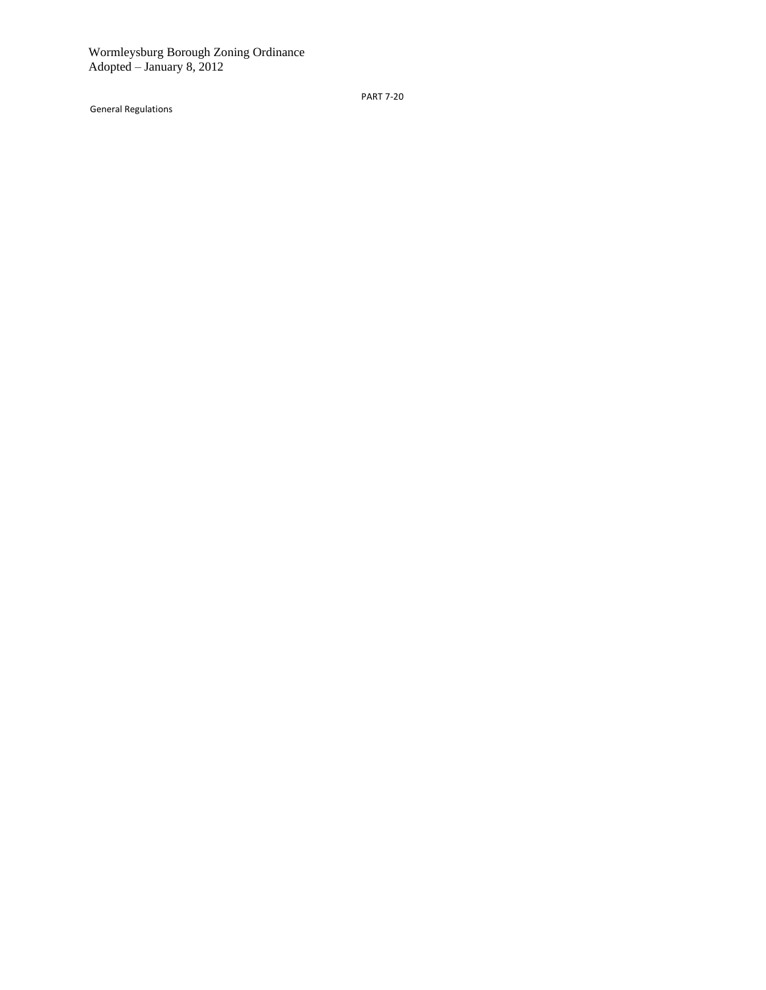General Regulations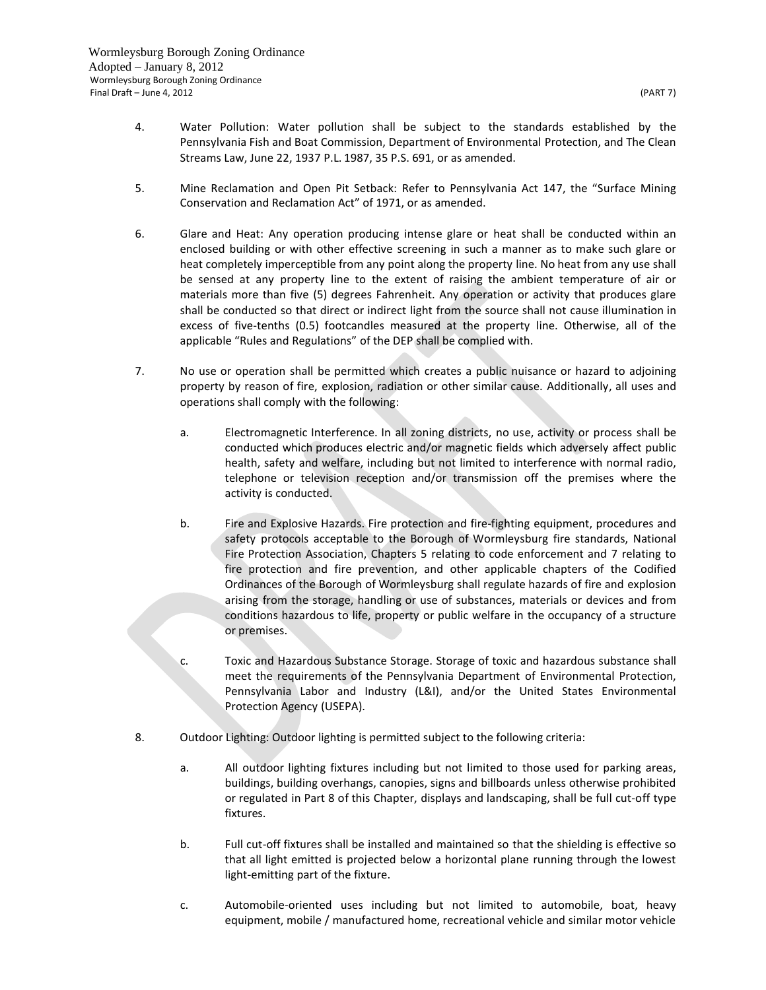- 4. Water Pollution: Water pollution shall be subject to the standards established by the Pennsylvania Fish and Boat Commission, Department of Environmental Protection, and The Clean Streams Law, June 22, 1937 P.L. 1987, 35 P.S. 691, or as amended.
- 5. Mine Reclamation and Open Pit Setback: Refer to Pennsylvania Act 147, the "Surface Mining Conservation and Reclamation Act" of 1971, or as amended.
- 6. Glare and Heat: Any operation producing intense glare or heat shall be conducted within an enclosed building or with other effective screening in such a manner as to make such glare or heat completely imperceptible from any point along the property line. No heat from any use shall be sensed at any property line to the extent of raising the ambient temperature of air or materials more than five (5) degrees Fahrenheit. Any operation or activity that produces glare shall be conducted so that direct or indirect light from the source shall not cause illumination in excess of five-tenths (0.5) footcandles measured at the property line. Otherwise, all of the applicable "Rules and Regulations" of the DEP shall be complied with.
- 7. No use or operation shall be permitted which creates a public nuisance or hazard to adjoining property by reason of fire, explosion, radiation or other similar cause. Additionally, all uses and operations shall comply with the following:
	- a. Electromagnetic Interference. In all zoning districts, no use, activity or process shall be conducted which produces electric and/or magnetic fields which adversely affect public health, safety and welfare, including but not limited to interference with normal radio, telephone or television reception and/or transmission off the premises where the activity is conducted.
	- b. Fire and Explosive Hazards. Fire protection and fire-fighting equipment, procedures and safety protocols acceptable to the Borough of Wormleysburg fire standards, National Fire Protection Association, Chapters 5 relating to code enforcement and 7 relating to fire protection and fire prevention, and other applicable chapters of the Codified Ordinances of the Borough of Wormleysburg shall regulate hazards of fire and explosion arising from the storage, handling or use of substances, materials or devices and from conditions hazardous to life, property or public welfare in the occupancy of a structure or premises.
	- c. Toxic and Hazardous Substance Storage. Storage of toxic and hazardous substance shall meet the requirements of the Pennsylvania Department of Environmental Protection, Pennsylvania Labor and Industry (L&I), and/or the United States Environmental Protection Agency (USEPA).
- 8. Outdoor Lighting: Outdoor lighting is permitted subject to the following criteria:
	- a. All outdoor lighting fixtures including but not limited to those used for parking areas, buildings, building overhangs, canopies, signs and billboards unless otherwise prohibited or regulated in Part 8 of this Chapter, displays and landscaping, shall be full cut-off type fixtures.
	- b. Full cut-off fixtures shall be installed and maintained so that the shielding is effective so that all light emitted is projected below a horizontal plane running through the lowest light-emitting part of the fixture.
	- c. Automobile-oriented uses including but not limited to automobile, boat, heavy equipment, mobile / manufactured home, recreational vehicle and similar motor vehicle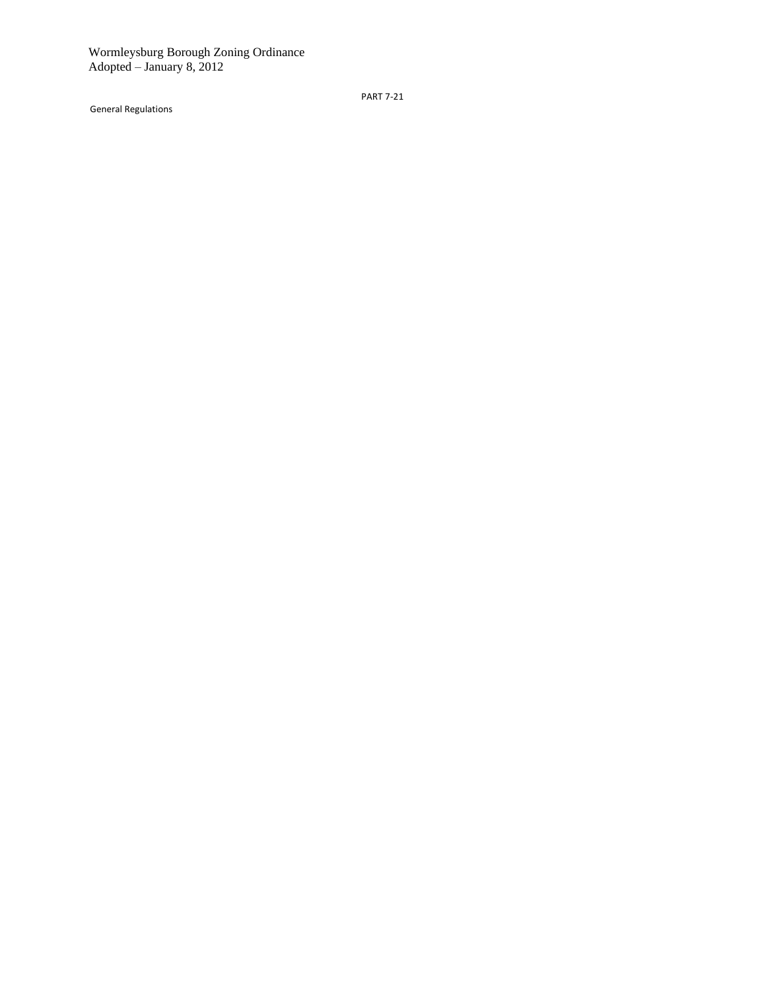General Regulations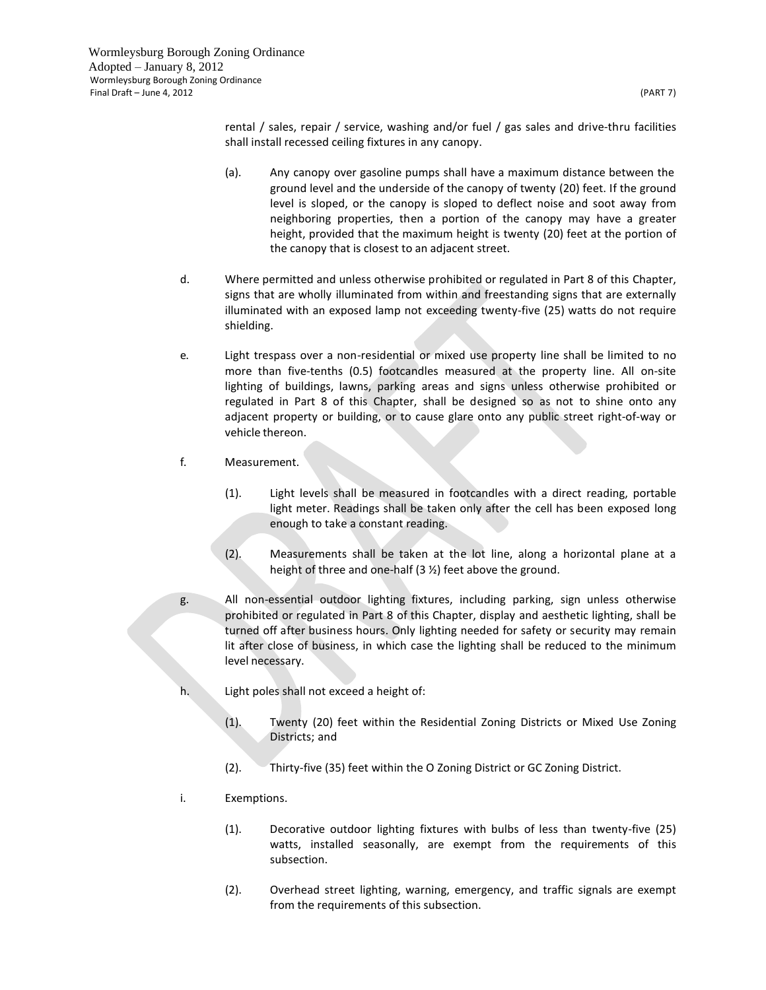rental / sales, repair / service, washing and/or fuel / gas sales and drive-thru facilities shall install recessed ceiling fixtures in any canopy.

- (a). Any canopy over gasoline pumps shall have a maximum distance between the ground level and the underside of the canopy of twenty (20) feet. If the ground level is sloped, or the canopy is sloped to deflect noise and soot away from neighboring properties, then a portion of the canopy may have a greater height, provided that the maximum height is twenty (20) feet at the portion of the canopy that is closest to an adjacent street.
- d. Where permitted and unless otherwise prohibited or regulated in Part 8 of this Chapter, signs that are wholly illuminated from within and freestanding signs that are externally illuminated with an exposed lamp not exceeding twenty-five (25) watts do not require shielding.
- e. Light trespass over a non-residential or mixed use property line shall be limited to no more than five-tenths (0.5) footcandles measured at the property line. All on-site lighting of buildings, lawns, parking areas and signs unless otherwise prohibited or regulated in Part 8 of this Chapter, shall be designed so as not to shine onto any adjacent property or building, or to cause glare onto any public street right-of-way or vehicle thereon.
- f. Measurement.
	- (1). Light levels shall be measured in footcandles with a direct reading, portable light meter. Readings shall be taken only after the cell has been exposed long enough to take a constant reading.
	- (2). Measurements shall be taken at the lot line, along a horizontal plane at a height of three and one-half (3 ½) feet above the ground.
- g. All non-essential outdoor lighting fixtures, including parking, sign unless otherwise prohibited or regulated in Part 8 of this Chapter, display and aesthetic lighting, shall be turned off after business hours. Only lighting needed for safety or security may remain lit after close of business, in which case the lighting shall be reduced to the minimum level necessary.
- h. Light poles shall not exceed a height of:
	- (1). Twenty (20) feet within the Residential Zoning Districts or Mixed Use Zoning Districts; and
	- (2). Thirty-five (35) feet within the O Zoning District or GC Zoning District.
- i. Exemptions.
	- (1). Decorative outdoor lighting fixtures with bulbs of less than twenty-five (25) watts, installed seasonally, are exempt from the requirements of this subsection.
	- (2). Overhead street lighting, warning, emergency, and traffic signals are exempt from the requirements of this subsection.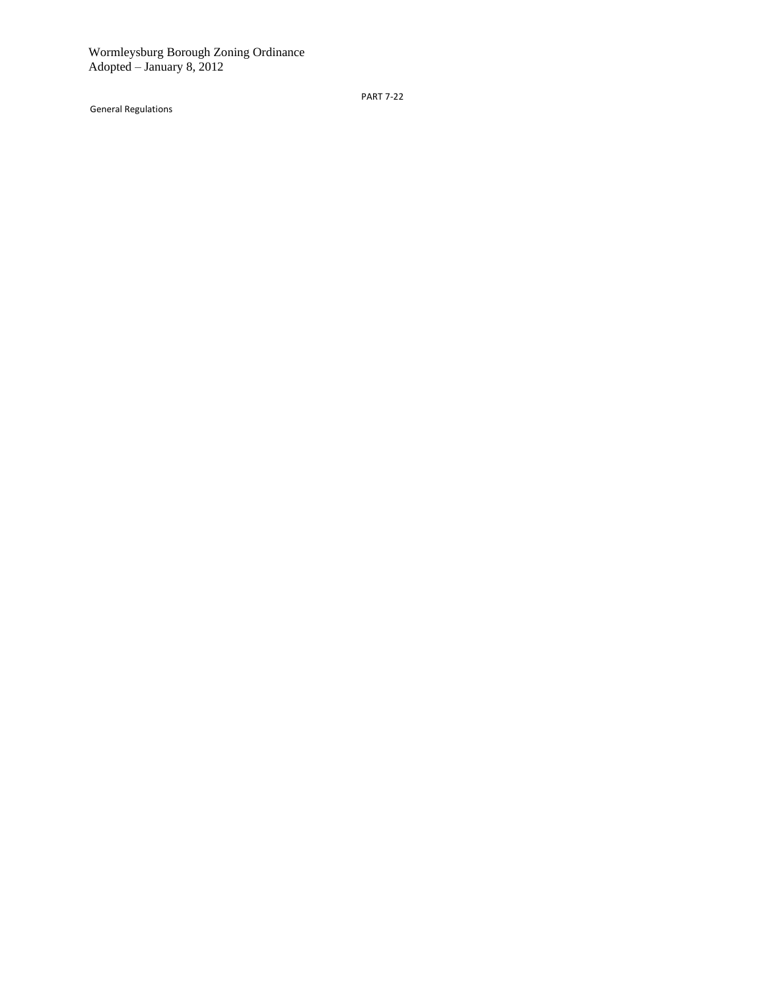General Regulations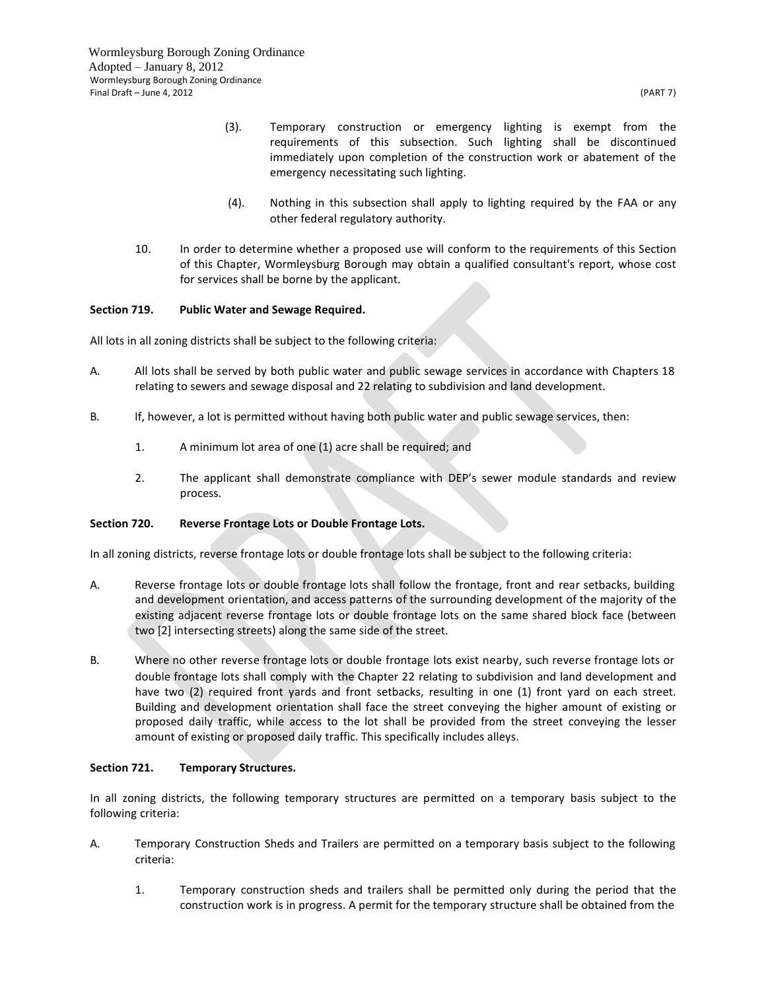- (3). Temporary construction or emergency lighting is exempt from the requirements of this subsection. Such lighting shall be discontinued immediately upon completion of the construction work or abatement of the emergency necessitating such lighting.
- (4). Nothing in this subsection shall apply to lighting required by the FAA or any other federal regulatory authority.
- 10. In order to determine whether a proposed use will conform to the requirements of this Section of this Chapter, Wormleysburg Borough may obtain a qualified consultant's report, whose cost for services shall be borne by the applicant.

## **Section 719. Public Water and Sewage Required.**

All lots in all zoning districts shall be subject to the following criteria:

- A. All lots shall be served by both public water and public sewage services in accordance with Chapters 18 relating to sewers and sewage disposal and 22 relating to subdivision and land development.
- B. If, however, a lot is permitted without having both public water and public sewage services, then:
	- 1. A minimum lot area of one (1) acre shall be required; and
	- 2. The applicant shall demonstrate compliance with DEP's sewer module standards and review process.

### **Section 720. Reverse Frontage Lots or Double Frontage Lots.**

In all zoning districts, reverse frontage lots or double frontage lots shall be subject to the following criteria:

- A. Reverse frontage lots or double frontage lots shall follow the frontage, front and rear setbacks, building and development orientation, and access patterns of the surrounding development of the majority of the existing adjacent reverse frontage lots or double frontage lots on the same shared block face (between two [2] intersecting streets) along the same side of the street.
- B. Where no other reverse frontage lots or double frontage lots exist nearby, such reverse frontage lots or double frontage lots shall comply with the Chapter 22 relating to subdivision and land development and have two (2) required front yards and front setbacks, resulting in one (1) front yard on each street. Building and development orientation shall face the street conveying the higher amount of existing or proposed daily traffic, while access to the lot shall be provided from the street conveying the lesser amount of existing or proposed daily traffic. This specifically includes alleys.

### **Section 721. Temporary Structures.**

In all zoning districts, the following temporary structures are permitted on a temporary basis subject to the following criteria:

- A. Temporary Construction Sheds and Trailers are permitted on a temporary basis subject to the following criteria:
	- 1. Temporary construction sheds and trailers shall be permitted only during the period that the construction work is in progress. A permit for the temporary structure shall be obtained from the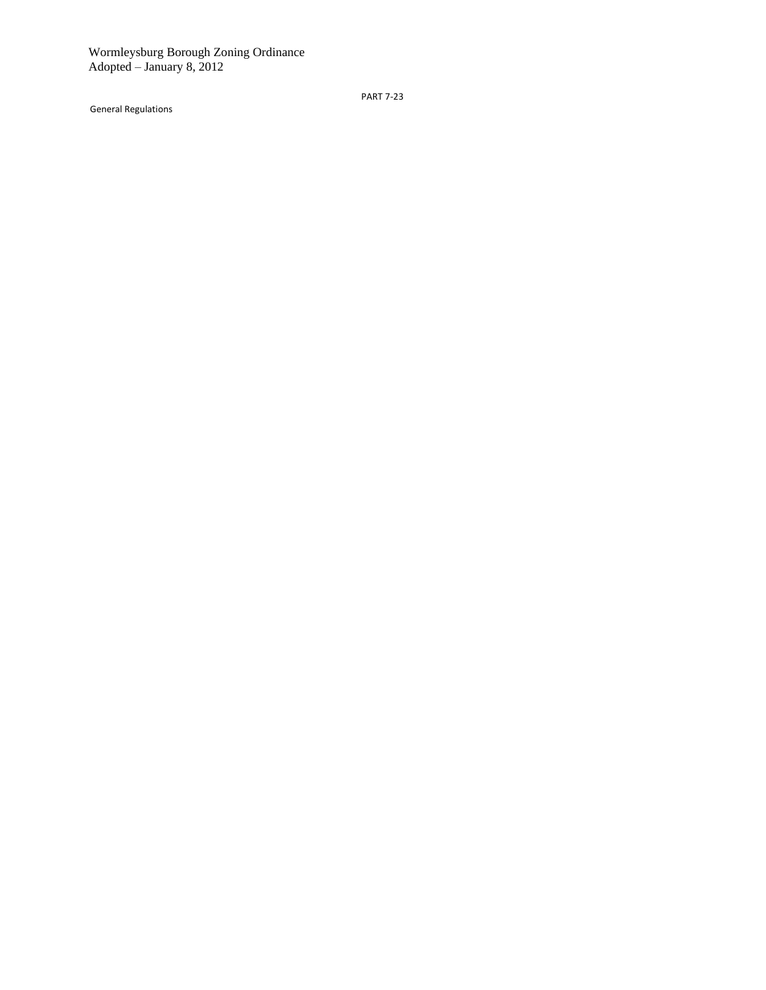General Regulations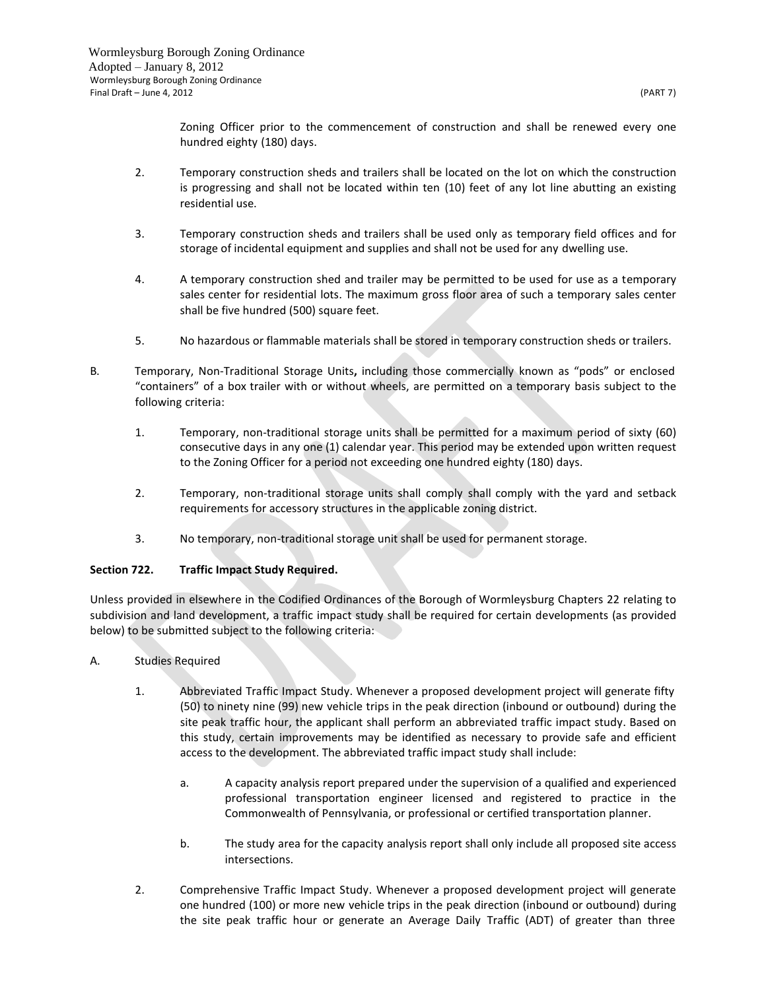Zoning Officer prior to the commencement of construction and shall be renewed every one hundred eighty (180) days.

- 2. Temporary construction sheds and trailers shall be located on the lot on which the construction is progressing and shall not be located within ten (10) feet of any lot line abutting an existing residential use.
- 3. Temporary construction sheds and trailers shall be used only as temporary field offices and for storage of incidental equipment and supplies and shall not be used for any dwelling use.
- 4. A temporary construction shed and trailer may be permitted to be used for use as a temporary sales center for residential lots. The maximum gross floor area of such a temporary sales center shall be five hundred (500) square feet.
- 5. No hazardous or flammable materials shall be stored in temporary construction sheds or trailers.
- B. Temporary, Non-Traditional Storage Units**,** including those commercially known as "pods" or enclosed "containers" of a box trailer with or without wheels, are permitted on a temporary basis subject to the following criteria:
	- 1. Temporary, non-traditional storage units shall be permitted for a maximum period of sixty (60) consecutive days in any one (1) calendar year. This period may be extended upon written request to the Zoning Officer for a period not exceeding one hundred eighty (180) days.
	- 2. Temporary, non-traditional storage units shall comply shall comply with the yard and setback requirements for accessory structures in the applicable zoning district.
	- 3. No temporary, non-traditional storage unit shall be used for permanent storage.

### **Section 722. Traffic Impact Study Required.**

Unless provided in elsewhere in the Codified Ordinances of the Borough of Wormleysburg Chapters 22 relating to subdivision and land development, a traffic impact study shall be required for certain developments (as provided below) to be submitted subject to the following criteria:

- A. Studies Required
	- 1. Abbreviated Traffic Impact Study. Whenever a proposed development project will generate fifty (50) to ninety nine (99) new vehicle trips in the peak direction (inbound or outbound) during the site peak traffic hour, the applicant shall perform an abbreviated traffic impact study. Based on this study, certain improvements may be identified as necessary to provide safe and efficient access to the development. The abbreviated traffic impact study shall include:
		- a. A capacity analysis report prepared under the supervision of a qualified and experienced professional transportation engineer licensed and registered to practice in the Commonwealth of Pennsylvania, or professional or certified transportation planner.
		- b. The study area for the capacity analysis report shall only include all proposed site access intersections.
	- 2. Comprehensive Traffic Impact Study. Whenever a proposed development project will generate one hundred (100) or more new vehicle trips in the peak direction (inbound or outbound) during the site peak traffic hour or generate an Average Daily Traffic (ADT) of greater than three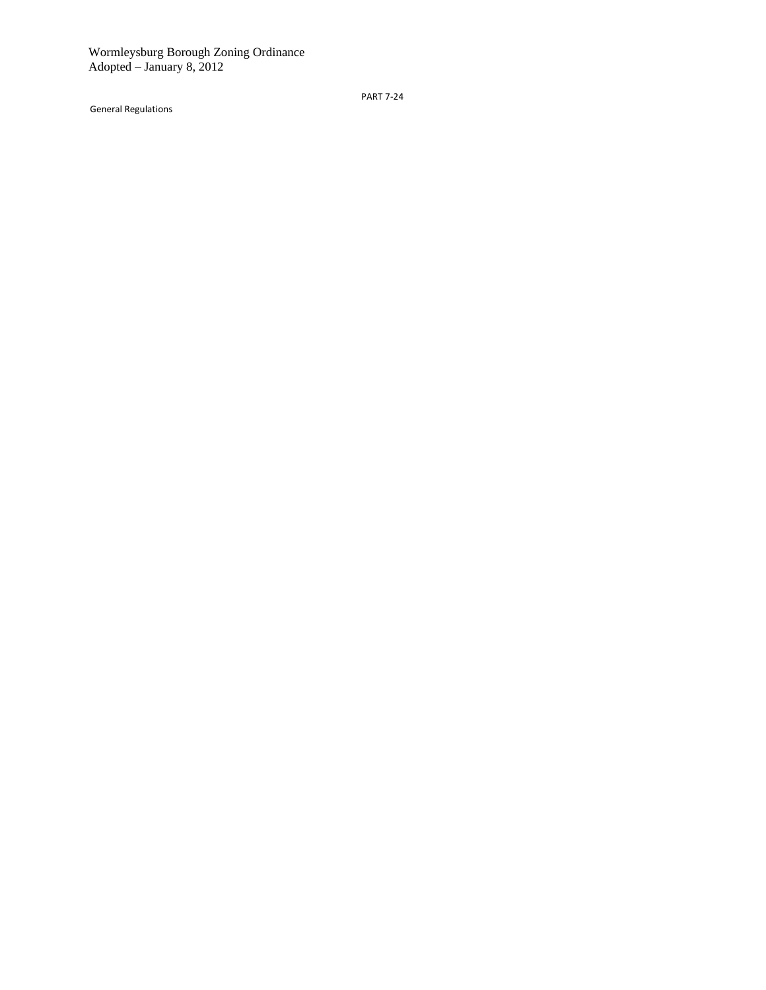General Regulations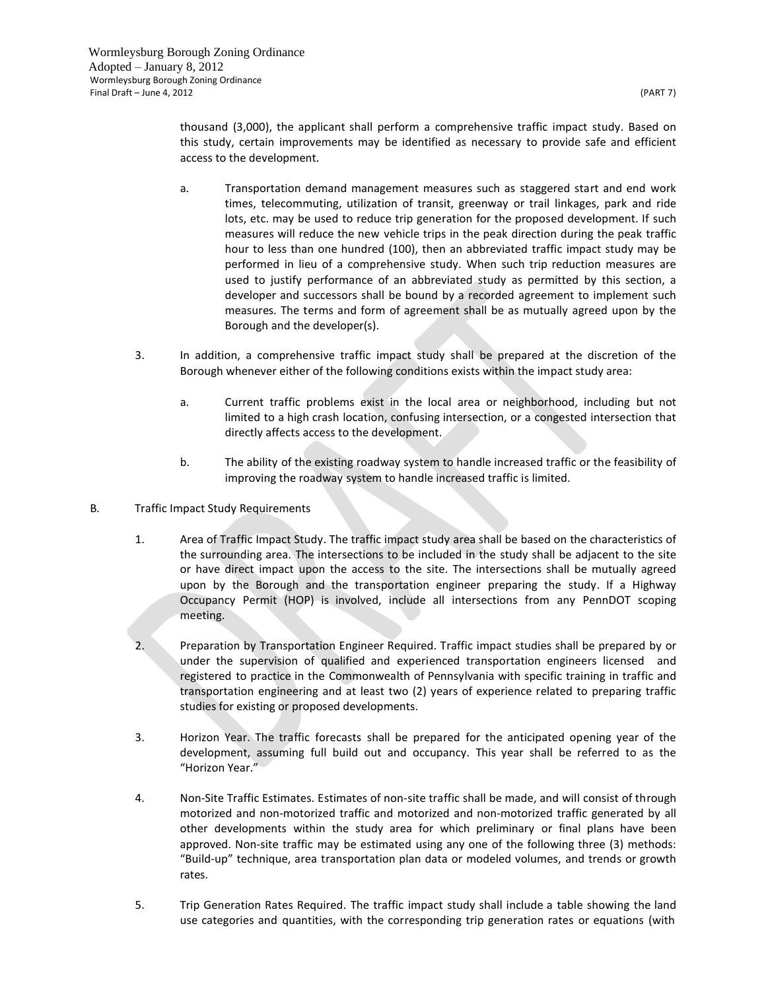thousand (3,000), the applicant shall perform a comprehensive traffic impact study. Based on this study, certain improvements may be identified as necessary to provide safe and efficient access to the development.

- a. Transportation demand management measures such as staggered start and end work times, telecommuting, utilization of transit, greenway or trail linkages, park and ride lots, etc. may be used to reduce trip generation for the proposed development. If such measures will reduce the new vehicle trips in the peak direction during the peak traffic hour to less than one hundred (100), then an abbreviated traffic impact study may be performed in lieu of a comprehensive study. When such trip reduction measures are used to justify performance of an abbreviated study as permitted by this section, a developer and successors shall be bound by a recorded agreement to implement such measures. The terms and form of agreement shall be as mutually agreed upon by the Borough and the developer(s).
- 3. In addition, a comprehensive traffic impact study shall be prepared at the discretion of the Borough whenever either of the following conditions exists within the impact study area:
	- a. Current traffic problems exist in the local area or neighborhood, including but not limited to a high crash location, confusing intersection, or a congested intersection that directly affects access to the development.
	- b. The ability of the existing roadway system to handle increased traffic or the feasibility of improving the roadway system to handle increased traffic is limited.
- B. Traffic Impact Study Requirements
	- 1. Area of Traffic Impact Study. The traffic impact study area shall be based on the characteristics of the surrounding area. The intersections to be included in the study shall be adjacent to the site or have direct impact upon the access to the site. The intersections shall be mutually agreed upon by the Borough and the transportation engineer preparing the study. If a Highway Occupancy Permit (HOP) is involved, include all intersections from any PennDOT scoping meeting.
	- 2. Preparation by Transportation Engineer Required. Traffic impact studies shall be prepared by or under the supervision of qualified and experienced transportation engineers licensed and registered to practice in the Commonwealth of Pennsylvania with specific training in traffic and transportation engineering and at least two (2) years of experience related to preparing traffic studies for existing or proposed developments.
	- 3. Horizon Year. The traffic forecasts shall be prepared for the anticipated opening year of the development, assuming full build out and occupancy. This year shall be referred to as the "Horizon Year."
	- 4. Non-Site Traffic Estimates. Estimates of non-site traffic shall be made, and will consist of through motorized and non-motorized traffic and motorized and non-motorized traffic generated by all other developments within the study area for which preliminary or final plans have been approved. Non-site traffic may be estimated using any one of the following three (3) methods: "Build-up" technique, area transportation plan data or modeled volumes, and trends or growth rates.
	- 5. Trip Generation Rates Required. The traffic impact study shall include a table showing the land use categories and quantities, with the corresponding trip generation rates or equations (with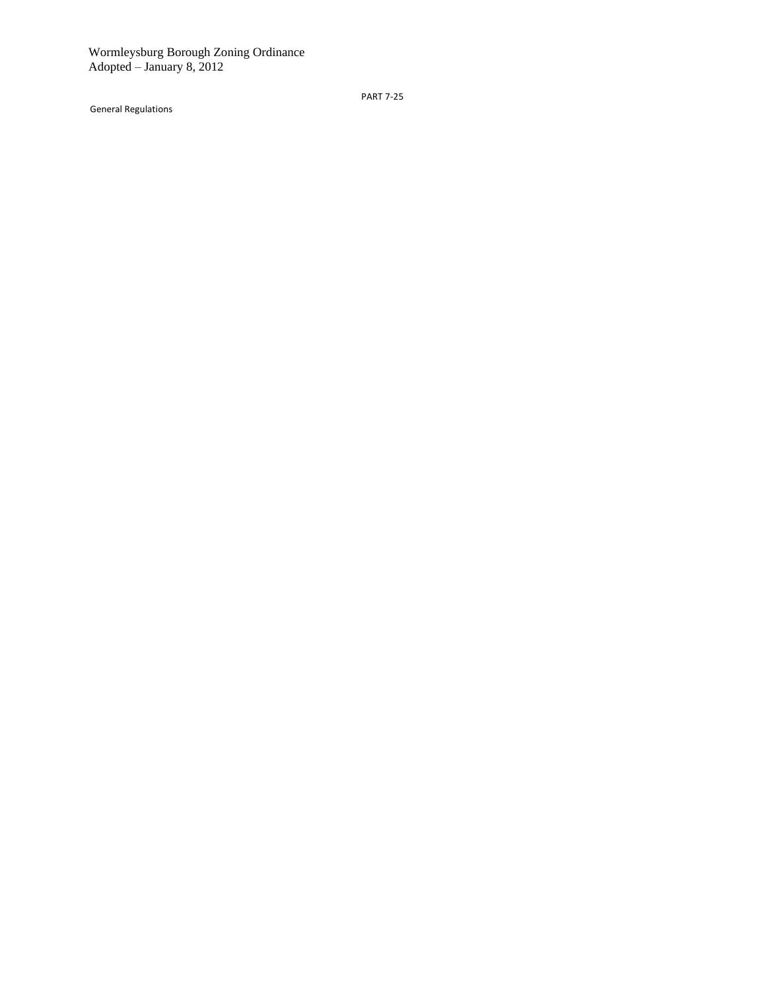General Regulations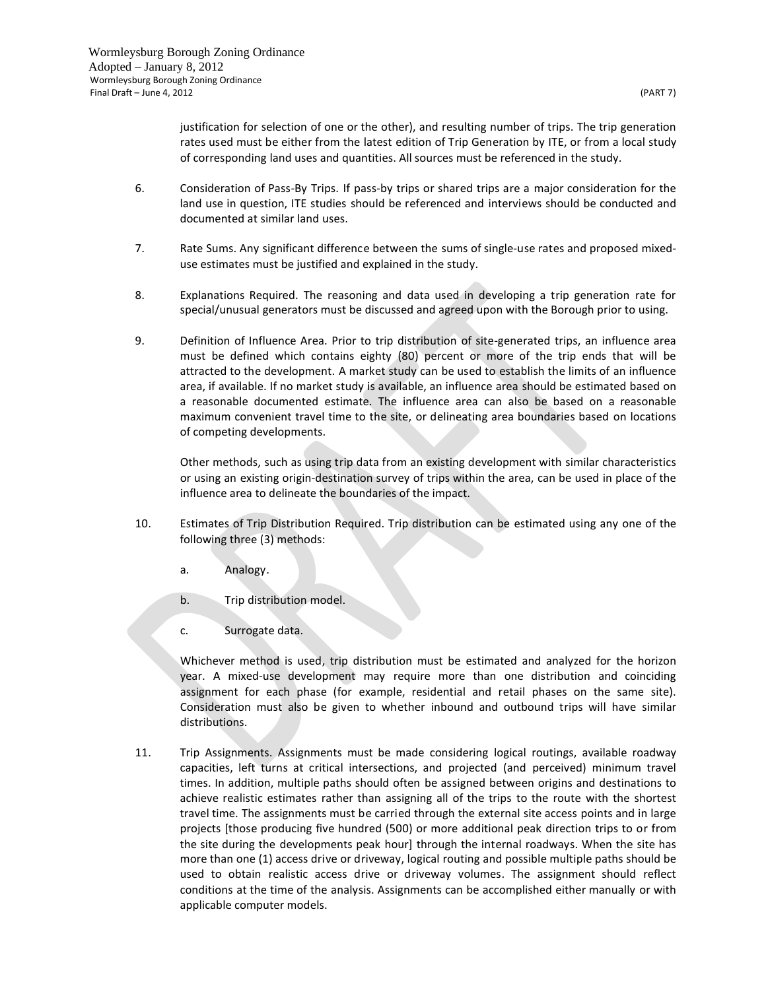justification for selection of one or the other), and resulting number of trips. The trip generation rates used must be either from the latest edition of Trip Generation by ITE, or from a local study of corresponding land uses and quantities. All sources must be referenced in the study.

- 6. Consideration of Pass-By Trips. If pass-by trips or shared trips are a major consideration for the land use in question, ITE studies should be referenced and interviews should be conducted and documented at similar land uses.
- 7. Rate Sums. Any significant difference between the sums of single-use rates and proposed mixeduse estimates must be justified and explained in the study.
- 8. Explanations Required. The reasoning and data used in developing a trip generation rate for special/unusual generators must be discussed and agreed upon with the Borough prior to using.
- 9. Definition of Influence Area. Prior to trip distribution of site-generated trips, an influence area must be defined which contains eighty (80) percent or more of the trip ends that will be attracted to the development. A market study can be used to establish the limits of an influence area, if available. If no market study is available, an influence area should be estimated based on a reasonable documented estimate. The influence area can also be based on a reasonable maximum convenient travel time to the site, or delineating area boundaries based on locations of competing developments.

Other methods, such as using trip data from an existing development with similar characteristics or using an existing origin-destination survey of trips within the area, can be used in place of the influence area to delineate the boundaries of the impact.

- 10. Estimates of Trip Distribution Required. Trip distribution can be estimated using any one of the following three (3) methods:
	- a. Analogy.
	- b. Trip distribution model.
	- c. Surrogate data.

Whichever method is used, trip distribution must be estimated and analyzed for the horizon year. A mixed-use development may require more than one distribution and coinciding assignment for each phase (for example, residential and retail phases on the same site). Consideration must also be given to whether inbound and outbound trips will have similar distributions.

11. Trip Assignments. Assignments must be made considering logical routings, available roadway capacities, left turns at critical intersections, and projected (and perceived) minimum travel times. In addition, multiple paths should often be assigned between origins and destinations to achieve realistic estimates rather than assigning all of the trips to the route with the shortest travel time. The assignments must be carried through the external site access points and in large projects [those producing five hundred (500) or more additional peak direction trips to or from the site during the developments peak hour] through the internal roadways. When the site has more than one (1) access drive or driveway, logical routing and possible multiple paths should be used to obtain realistic access drive or driveway volumes. The assignment should reflect conditions at the time of the analysis. Assignments can be accomplished either manually or with applicable computer models.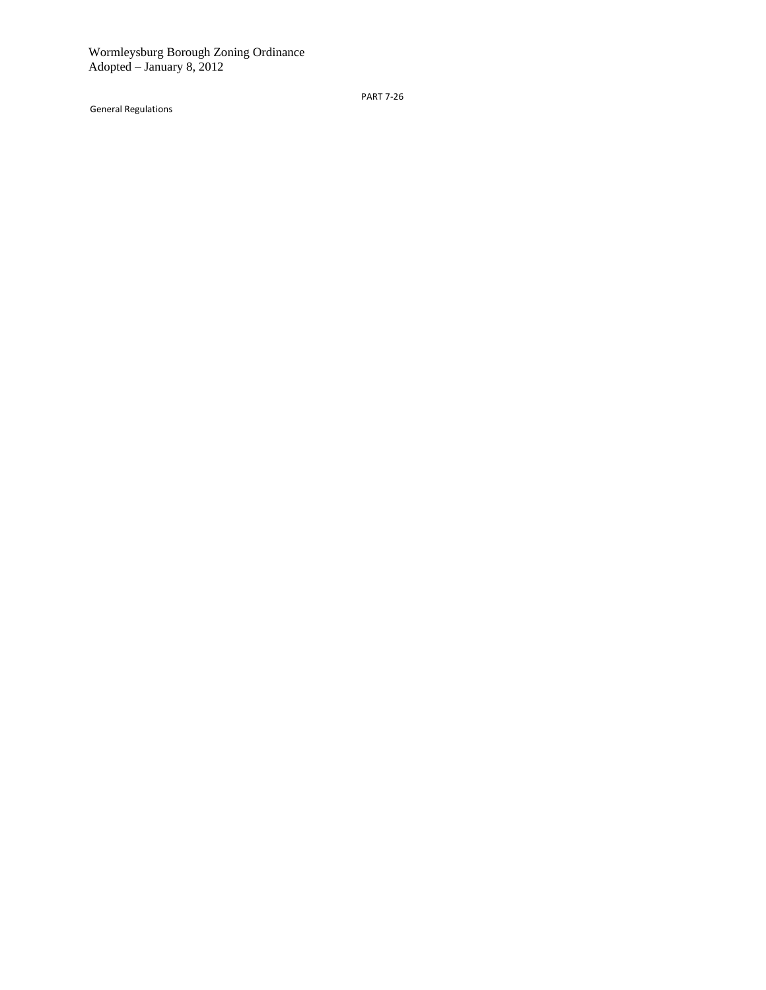General Regulations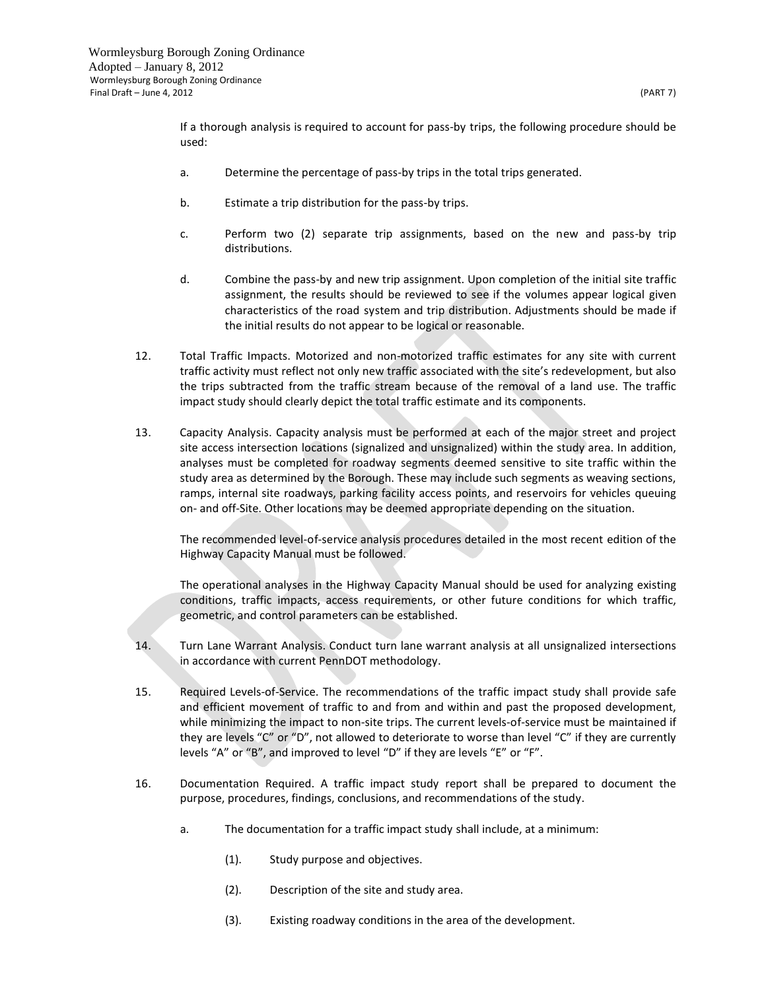If a thorough analysis is required to account for pass-by trips, the following procedure should be used:

- a. Determine the percentage of pass-by trips in the total trips generated.
- b. Estimate a trip distribution for the pass-by trips.
- c. Perform two (2) separate trip assignments, based on the new and pass-by trip distributions.
- d. Combine the pass-by and new trip assignment. Upon completion of the initial site traffic assignment, the results should be reviewed to see if the volumes appear logical given characteristics of the road system and trip distribution. Adjustments should be made if the initial results do not appear to be logical or reasonable.
- 12. Total Traffic Impacts. Motorized and non-motorized traffic estimates for any site with current traffic activity must reflect not only new traffic associated with the site's redevelopment, but also the trips subtracted from the traffic stream because of the removal of a land use. The traffic impact study should clearly depict the total traffic estimate and its components.
- 13. Capacity Analysis. Capacity analysis must be performed at each of the major street and project site access intersection locations (signalized and unsignalized) within the study area. In addition, analyses must be completed for roadway segments deemed sensitive to site traffic within the study area as determined by the Borough. These may include such segments as weaving sections, ramps, internal site roadways, parking facility access points, and reservoirs for vehicles queuing on- and off-Site. Other locations may be deemed appropriate depending on the situation.

The recommended level-of-service analysis procedures detailed in the most recent edition of the Highway Capacity Manual must be followed.

The operational analyses in the Highway Capacity Manual should be used for analyzing existing conditions, traffic impacts, access requirements, or other future conditions for which traffic, geometric, and control parameters can be established.

- 14. Turn Lane Warrant Analysis. Conduct turn lane warrant analysis at all unsignalized intersections in accordance with current PennDOT methodology.
- 15. Required Levels-of-Service. The recommendations of the traffic impact study shall provide safe and efficient movement of traffic to and from and within and past the proposed development, while minimizing the impact to non-site trips. The current levels-of-service must be maintained if they are levels "C" or "D", not allowed to deteriorate to worse than level "C" if they are currently levels "A" or "B", and improved to level "D" if they are levels "E" or "F".
- 16. Documentation Required. A traffic impact study report shall be prepared to document the purpose, procedures, findings, conclusions, and recommendations of the study.
	- a. The documentation for a traffic impact study shall include, at a minimum:
		- (1). Study purpose and objectives.
		- (2). Description of the site and study area.
		- (3). Existing roadway conditions in the area of the development.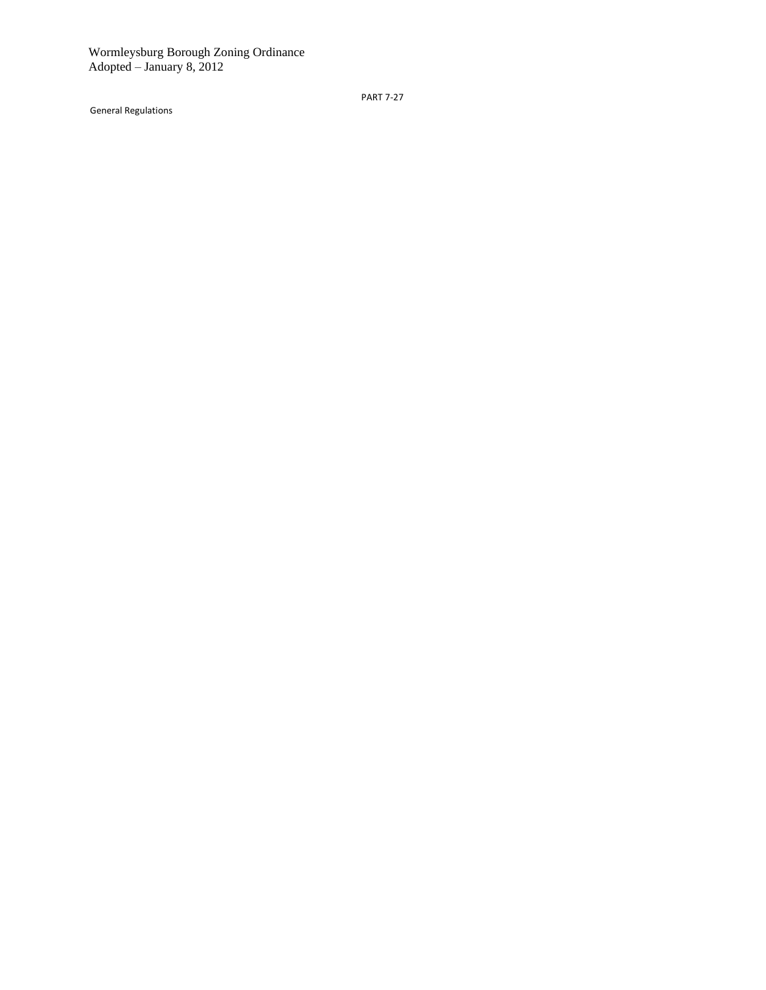General Regulations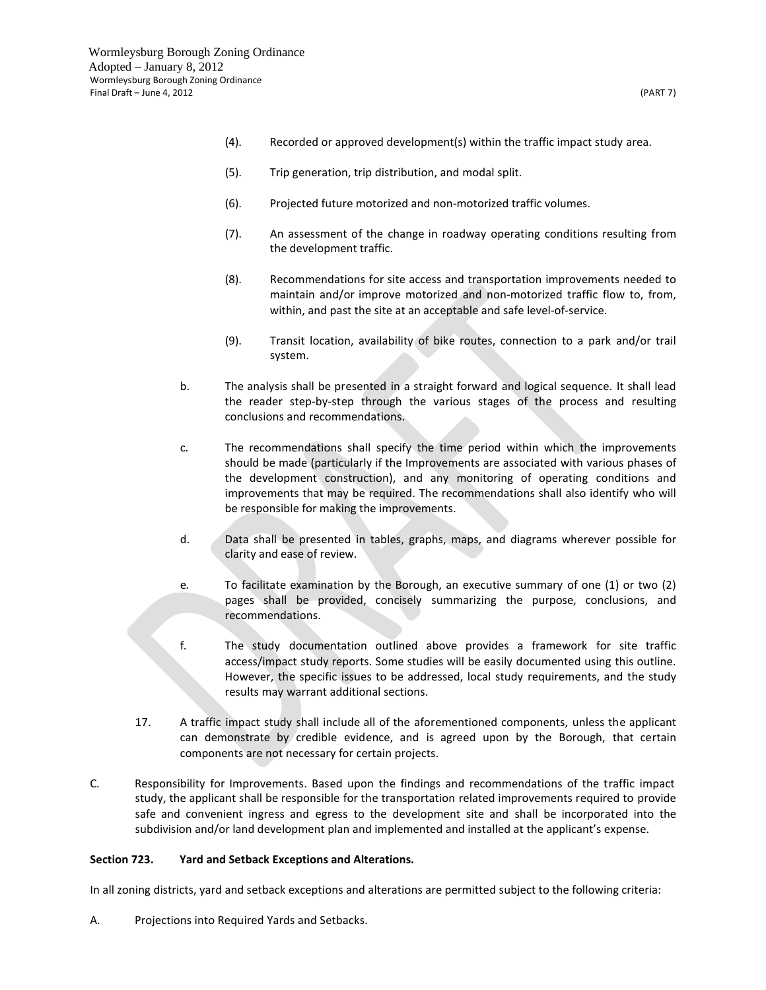- (4). Recorded or approved development(s) within the traffic impact study area.
- (5). Trip generation, trip distribution, and modal split.
- (6). Projected future motorized and non-motorized traffic volumes.
- (7). An assessment of the change in roadway operating conditions resulting from the development traffic.
- (8). Recommendations for site access and transportation improvements needed to maintain and/or improve motorized and non-motorized traffic flow to, from, within, and past the site at an acceptable and safe level-of-service.
- (9). Transit location, availability of bike routes, connection to a park and/or trail system.
- b. The analysis shall be presented in a straight forward and logical sequence. It shall lead the reader step-by-step through the various stages of the process and resulting conclusions and recommendations.
- c. The recommendations shall specify the time period within which the improvements should be made (particularly if the Improvements are associated with various phases of the development construction), and any monitoring of operating conditions and improvements that may be required. The recommendations shall also identify who will be responsible for making the improvements.
- d. Data shall be presented in tables, graphs, maps, and diagrams wherever possible for clarity and ease of review.
- e. To facilitate examination by the Borough, an executive summary of one (1) or two (2) pages shall be provided, concisely summarizing the purpose, conclusions, and recommendations.
- f. The study documentation outlined above provides a framework for site traffic access/impact study reports. Some studies will be easily documented using this outline. However, the specific issues to be addressed, local study requirements, and the study results may warrant additional sections.
- 17. A traffic impact study shall include all of the aforementioned components, unless the applicant can demonstrate by credible evidence, and is agreed upon by the Borough, that certain components are not necessary for certain projects.
- C. Responsibility for Improvements. Based upon the findings and recommendations of the traffic impact study, the applicant shall be responsible for the transportation related improvements required to provide safe and convenient ingress and egress to the development site and shall be incorporated into the subdivision and/or land development plan and implemented and installed at the applicant's expense.

# **Section 723. Yard and Setback Exceptions and Alterations.**

In all zoning districts, yard and setback exceptions and alterations are permitted subject to the following criteria:

A. Projections into Required Yards and Setbacks.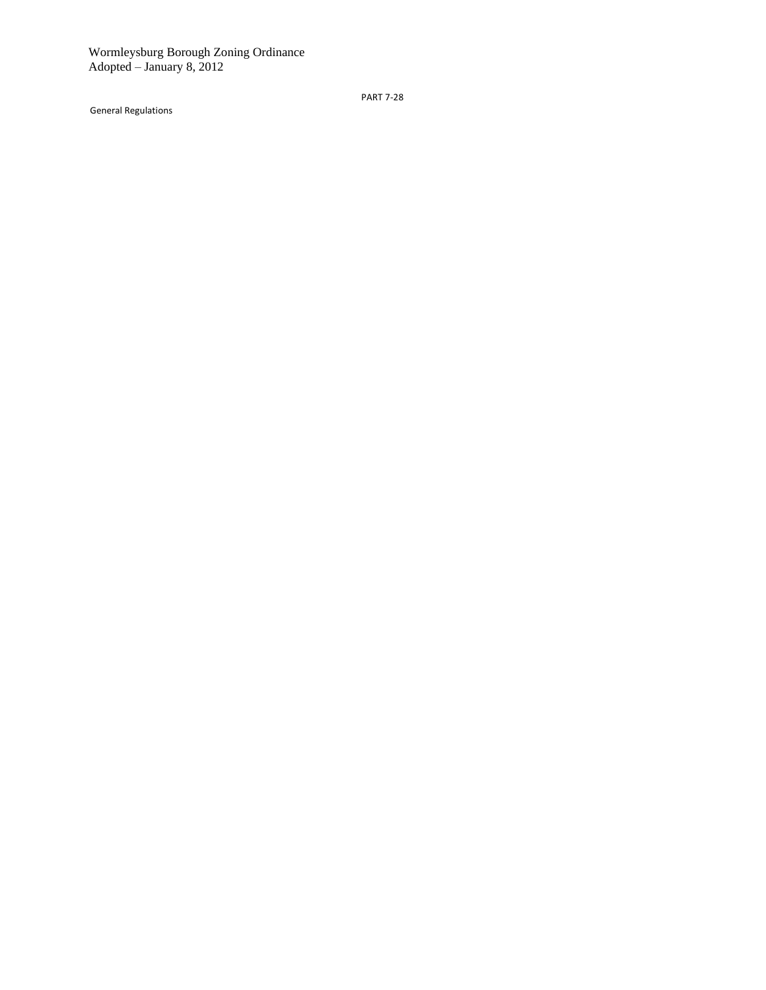General Regulations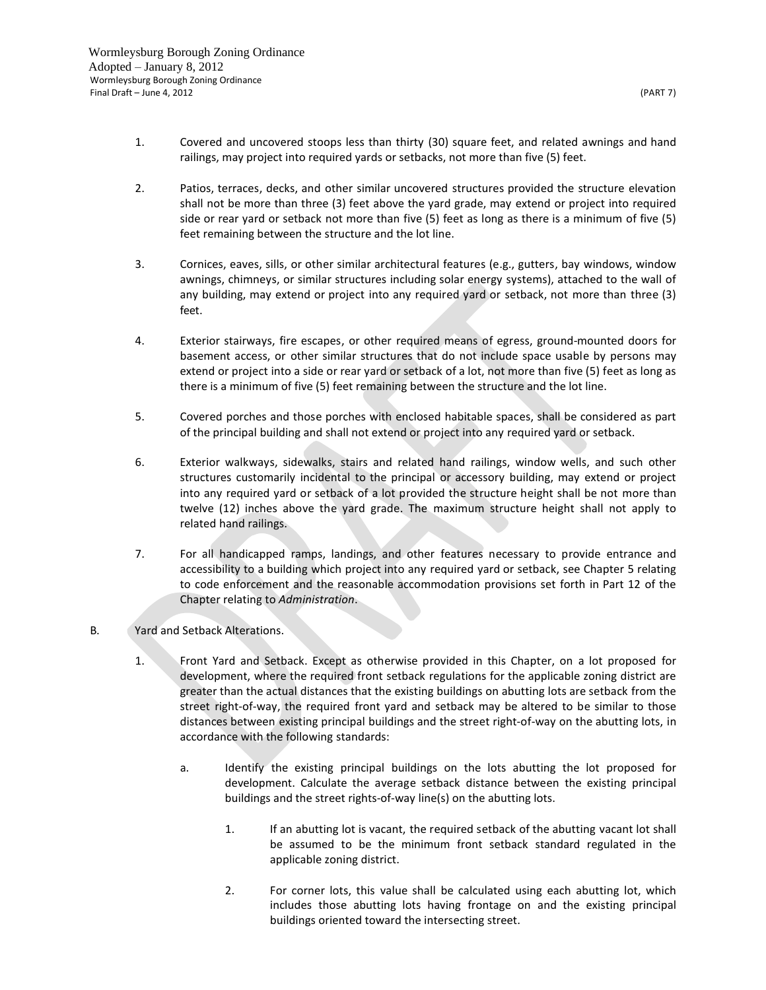- 1. Covered and uncovered stoops less than thirty (30) square feet, and related awnings and hand railings, may project into required yards or setbacks, not more than five (5) feet.
- 2. Patios, terraces, decks, and other similar uncovered structures provided the structure elevation shall not be more than three (3) feet above the yard grade, may extend or project into required side or rear yard or setback not more than five (5) feet as long as there is a minimum of five (5) feet remaining between the structure and the lot line.
- 3. Cornices, eaves, sills, or other similar architectural features (e.g., gutters, bay windows, window awnings, chimneys, or similar structures including solar energy systems), attached to the wall of any building, may extend or project into any required yard or setback, not more than three (3) feet.
- 4. Exterior stairways, fire escapes, or other required means of egress, ground-mounted doors for basement access, or other similar structures that do not include space usable by persons may extend or project into a side or rear yard or setback of a lot, not more than five (5) feet as long as there is a minimum of five (5) feet remaining between the structure and the lot line.
- 5. Covered porches and those porches with enclosed habitable spaces, shall be considered as part of the principal building and shall not extend or project into any required yard or setback.
- 6. Exterior walkways, sidewalks, stairs and related hand railings, window wells, and such other structures customarily incidental to the principal or accessory building, may extend or project into any required yard or setback of a lot provided the structure height shall be not more than twelve (12) inches above the yard grade. The maximum structure height shall not apply to related hand railings.
- 7. For all handicapped ramps, landings, and other features necessary to provide entrance and accessibility to a building which project into any required yard or setback, see Chapter 5 relating to code enforcement and the reasonable accommodation provisions set forth in Part 12 of the Chapter relating to *Administration*.
- B. Yard and Setback Alterations.
	- 1. Front Yard and Setback. Except as otherwise provided in this Chapter, on a lot proposed for development, where the required front setback regulations for the applicable zoning district are greater than the actual distances that the existing buildings on abutting lots are setback from the street right-of-way, the required front yard and setback may be altered to be similar to those distances between existing principal buildings and the street right-of-way on the abutting lots, in accordance with the following standards:
		- a. Identify the existing principal buildings on the lots abutting the lot proposed for development. Calculate the average setback distance between the existing principal buildings and the street rights-of-way line(s) on the abutting lots.
			- 1. If an abutting lot is vacant, the required setback of the abutting vacant lot shall be assumed to be the minimum front setback standard regulated in the applicable zoning district.
			- 2. For corner lots, this value shall be calculated using each abutting lot, which includes those abutting lots having frontage on and the existing principal buildings oriented toward the intersecting street.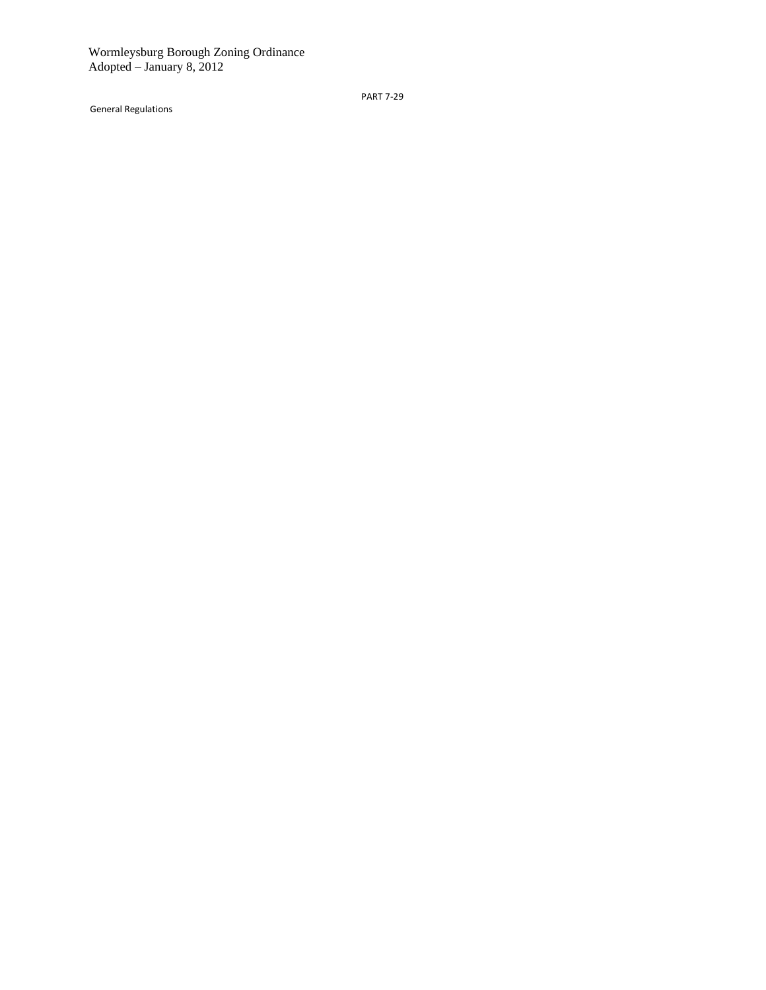General Regulations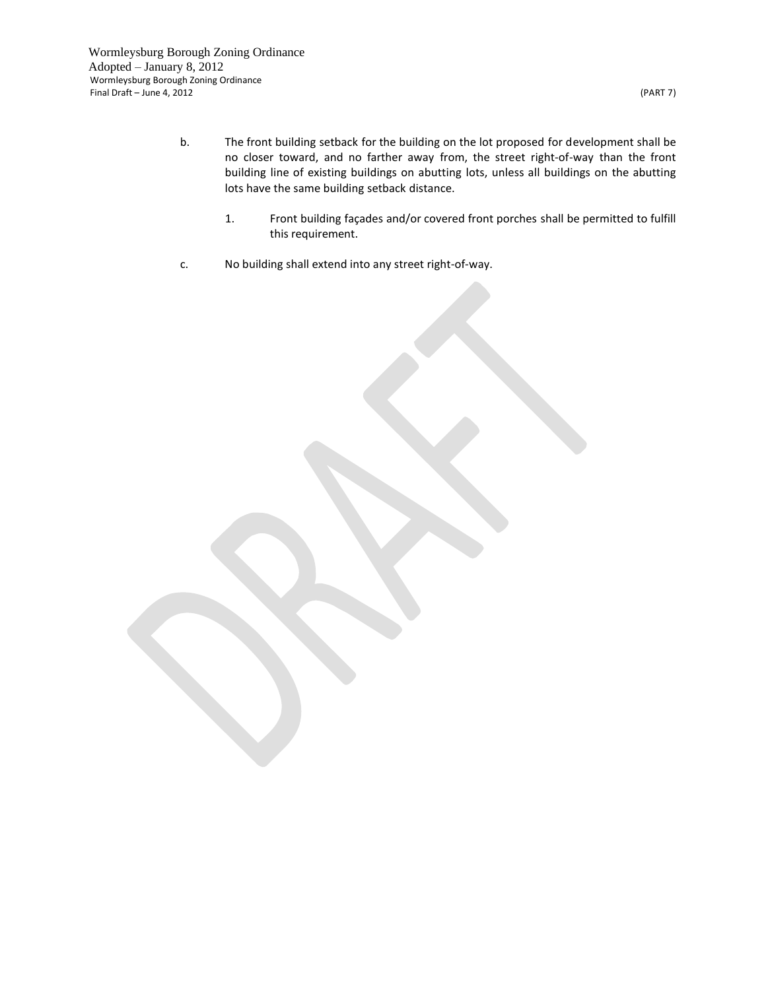- b. The front building setback for the building on the lot proposed for development shall be no closer toward, and no farther away from, the street right-of-way than the front building line of existing buildings on abutting lots, unless all buildings on the abutting lots have the same building setback distance.
	- 1. Front building façades and/or covered front porches shall be permitted to fulfill this requirement.
- c. No building shall extend into any street right-of-way.